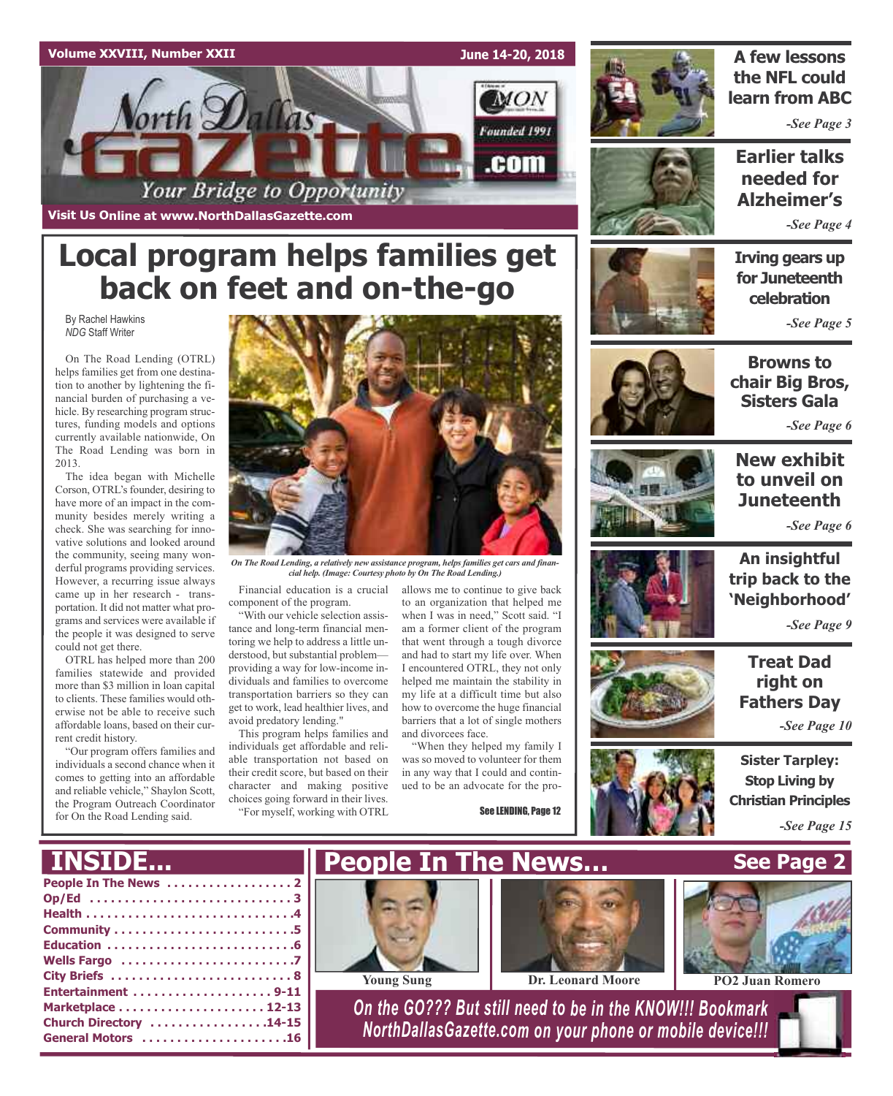

**Local program helps families get**



### **A few lessons the NFL could learn from ABC**

*-See Page 3*

**Earlier talks needed for Alzheimer's**

*-See Page 4*

### **Irving gears up for Juneteenth celebration**

*-See Page 5*



On The Road Lending (OTRL) helps families get from one destination to another by lightening the financial burden of purchasing a vehicle. By researching program structures, funding models and options currently available nationwide, On The Road Lending was born in 2013.

The idea began with Michelle Corson, OTRL's founder, desiring to have more of an impact in the community besides merely writing a check. She was searching for innovative solutions and looked around the community, seeing many wonderful programs providing services. However, a recurring issue always came up in her research - transportation. It did not matter what programs and services were available if the people it was designed to serve could not get there.

OTRL has helped more than 200 families statewide and provided more than \$3 million in loan capital to clients. These families would otherwise not be able to receive such affordable loans, based on their current credit history.

"Our program offers families and individuals a second chance when it comes to getting into an affordable and reliable vehicle," Shaylon Scott, the Program Outreach Coordinator for On the Road Lending said.



*On The Road Lending, a relatively new assistance program, helps families get cars and financial help. (Image: Courtesy photo by On The Road Lending.)*

Financial education is a crucial component of the program.

"With our vehicle selection assistance and long-term financial mentoring we help to address a little understood, but substantial problem providing a way for low-income individuals and families to overcome transportation barriers so they can get to work, lead healthier lives, and avoid predatory lending."

This program helps families and individuals get affordable and reliable transportation not based on their credit score, but based on their character and making positive choices going forward in their lives. "For myself, working with OTRL

allows me to continue to give back to an organization that helped me when I was in need," Scott said. "I am a former client of the program that went through a tough divorce and had to start my life over. When I encountered OTRL, they not only helped me maintain the stability in my life at a difficult time but also how to overcome the huge financial barriers that a lot of single mothers and divorcees face.

"When they helped my family I was so moved to volunteer for them in any way that I could and continued to be an advocate for the pro-

See LENDING, Page 12







### **New exhibit to unveil on Juneteenth**

*-See Page 6*



**An insightful trip back to the 'Neighborhood'**

*-See Page 9*

**Treat Dad right on Fathers Day**

*-See Page 10*



**Sister Tarpley: Stop Living by Christian Principles**

*-See Page 15*

| <b>INSIDE</b>                               | <b>The News</b>                                                                                                        |                   | See                  |
|---------------------------------------------|------------------------------------------------------------------------------------------------------------------------|-------------------|----------------------|
| Op/Ed 3                                     | <b>Young Sung</b>                                                                                                      | Dr. Leonard Moore | PO <sub>2</sub> Juan |
| Church Directory 14-15<br>General Motors 16 | On the GO??? But still need to be in the KNOW!!! Bookmark<br>NorthDallasGazette.com on your phone or mobile device !!! |                   |                      |

### **See Page 2**



**Young Sung Dr. Leonard Moore PO2 Juan Romero**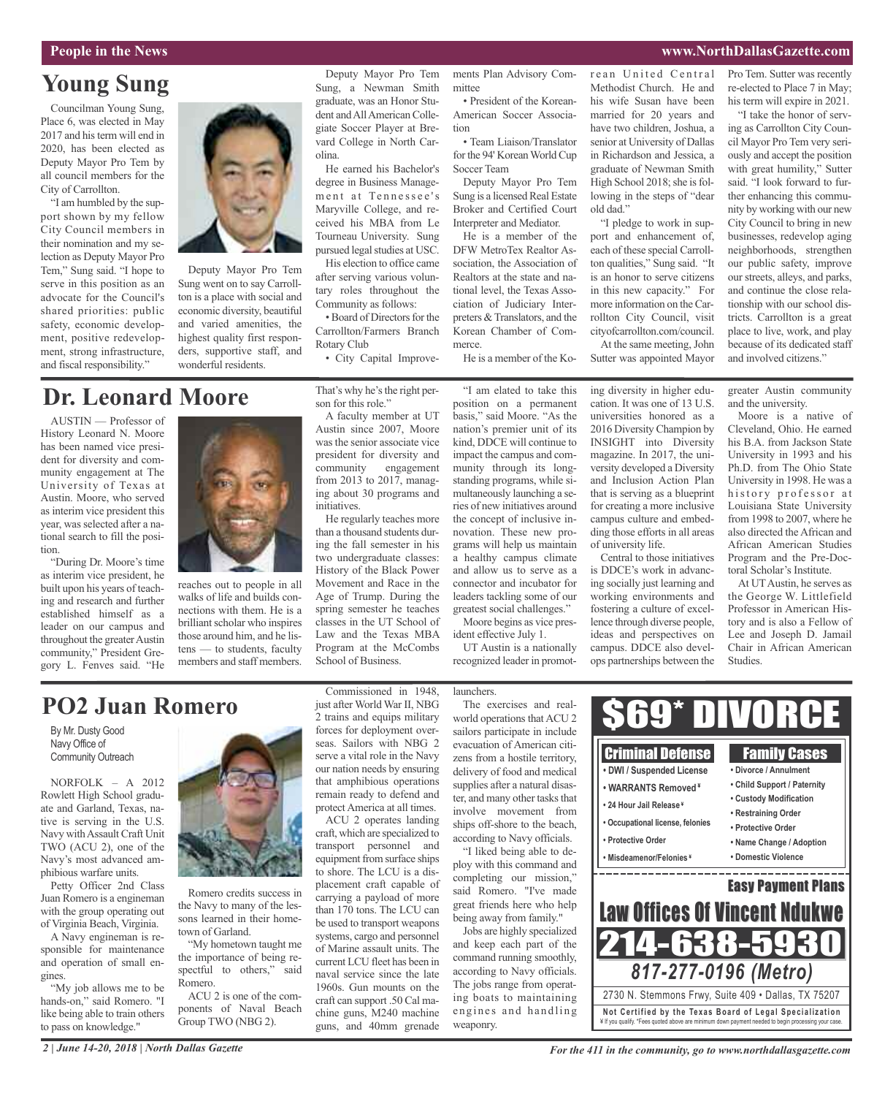### **Young Sung**

Councilman Young Sung, Place 6, was elected in May 2017 and histerm will end in 2020, has been elected as Deputy Mayor Pro Tem by all council members for the City of Carrollton.

"I am humbled by the support shown by my fellow City Council members in their nomination and my selection as Deputy Mayor Pro Tem," Sung said. "I hope to serve in this position as an advocate for the Council's shared priorities: public safety, economic development, positive redevelopment, strong infrastructure, and fiscal responsibility."



Deputy Mayor Pro Tem Sung went on to say Carrollton is a place with social and economic diversity, beautiful and varied amenities, the highest quality first responders, supportive staff, and wonderful residents.

### **Dr. Leonard Moore**

AUSTIN — Professor of History Leonard N. Moore has been named vice president for diversity and community engagement at The University of Texas at Austin. Moore, who served as interim vice president this year, was selected after a national search to fill the position.

"During Dr. Moore's time as interim vice president, he built upon his years of teaching and research and further established himself as a leader on our campus and throughout the greater Austin community," President Gregory L. Fenves said. "He



walks of life and builds connections with them. He is a brilliant scholar who inspires those around him, and he listens — to students, faculty members and staff members.

reaches out to people in all

Deputy Mayor Pro Tem Sung, a Newman Smith graduate, was an Honor Student andAllAmerican Collegiate Soccer Player at Brevard College in North Carolina.

He earned his Bachelor's degree in Business Management at Tennessee's Maryville College, and received his MBA from Le Tourneau University. Sung pursued legal studies at USC.

His election to office came after serving various voluntary roles throughout the Community as follows:

• Board of Directors for the Carrollton/Farmers Branch Rotary Club • City Capital Improve-

That's why he's the right per-

son for this role."

A faculty member at UT Austin since 2007, Moore was the senior associate vice president for diversity and community engagement from 2013 to 2017, managing about 30 programs and initiatives.

He regularly teaches more than a thousand students during the fall semester in his two undergraduate classes: History of the Black Power Movement and Race in the Age of Trump. During the spring semester he teaches classes in the UT School of Law and the Texas MBA Program at the McCombs School of Business.

"I am elated to take this position on a permanent basis," said Moore. "As the nation's premier unit of its kind, DDCE will continue to impact the campus and community through its longstanding programs, while simultaneously launching a series of new initiatives around the concept of inclusive innovation. These new programs will help us maintain ciation of Judiciary Interpreters & Translators, and the Korean Chamber of Commerce. He is a member of the Ko-

ments Plan Advisory Com-

• President of the Korean-American Soccer Associa-

• Team Liaison/Translator for the 94' Korean World Cup

Deputy Mayor Pro Tem Sung is a licensed Real Estate Broker and Certified Court Interpreter and Mediator. He is a member of the DFW MetroTex Realtor Association, the Association of Realtors at the state and national level, the Texas Asso-

mittee

tion

Soccer Team

a healthy campus climate and allow us to serve as a connector and incubator for leaders tackling some of our greatest social challenges."

Moore begins as vice president effective July 1.

UT Austin is a nationally recognized leader in promotrean United Central Methodist Church. He and his wife Susan have been married for 20 years and have two children, Joshua, a senior at University of Dallas in Richardson and Jessica, a graduate of Newman Smith High School 2018; she is following in the steps of "dear old dad."

"I pledge to work in support and enhancement of, each of these special Carrollton qualities," Sung said. "It is an honor to serve citizens in this new capacity." For more information on the Carrollton City Council, visit cityofcarrollton.com/council. At the same meeting, John Sutter was appointed Mayor

ing diversity in higher education. It was one of 13 U.S. universities honored as a 2016 Diversity Champion by INSIGHT into Diversity magazine. In 2017, the university developed a Diversity and Inclusion Action Plan that is serving as a blueprint for creating a more inclusive campus culture and embedding those efforts in all areas

of university life.

Central to those initiatives is DDCE's work in advancing socially just learning and working environments and fostering a culture of excellence through diverse people, ideas and perspectives on campus. DDCE also develops partnerships between the

Pro Tem. Sutter was recently re-elected to Place 7 in May; his term will expire in 2021.

"I take the honor of serving as Carrollton City Council Mayor Pro Tem very seriously and accept the position with great humility," Sutter said. "I look forward to further enhancing this community by working with our new City Council to bring in new businesses, redevelop aging neighborhoods, strengthen our public safety, improve our streets, alleys, and parks, and continue the close relationship with our school districts. Carrollton is a great place to live, work, and play because of its dedicated staff and involved citizens."

greater Austin community and the university.

Moore is a native of Cleveland, Ohio. He earned his B.A. from Jackson State University in 1993 and his Ph.D. from The Ohio State University in 1998. He was a history professor at Louisiana State University from 1998 to 2007, where he also directed the African and African American Studies Program and the Pre-Doctoral Scholar's Institute.

At UT Austin, he serves as the George W. Littlefield Professor in American History and is also a Fellow of Lee and Joseph D. Jamail Chair in African American Studies.

### **PO2 Juan Romero**

By Mr. Dusty Good Navy Office of Community Outreach

NORFOLK – A 2012 Rowlett High School graduate and Garland, Texas, native is serving in the U.S. Navy withAssault Craft Unit TWO (ACU 2), one of the Navy's most advanced amphibious warfare units.

Petty Officer 2nd Class Juan Romero is a engineman with the group operating out of Virginia Beach, Virginia.

A Navy engineman is responsible for maintenance and operation of small engines.

"My job allows me to be hands-on," said Romero. "I like being able to train others to pass on knowledge."



Romero credits success in the Navy to many of the lessons learned in their hometown of Garland.

"My hometown taught me the importance of being respectful to others," said Romero.

ACU 2 is one of the components of Naval Beach Group TWO (NBG 2).

Commissioned in 1948, just after World War II, NBG 2 trains and equips military forces for deployment overseas. Sailors with NBG 2 serve a vital role in the Navy our nation needs by ensuring that amphibious operations remain ready to defend and protect America at all times.

ACU 2 operates landing craft, which are specialized to transport personnel and equipment from surface ships to shore. The LCU is a displacement craft capable of carrying a payload of more than 170 tons. The LCU can be used to transport weapons systems, cargo and personnel of Marine assault units. The current LCU fleet has been in naval service since the late 1960s. Gun mounts on the craft can support .50 Cal machine guns, M240 machine guns, and 40mm grenade

#### launchers.

The exercises and realworld operations that ACU 2 sailors participate in include evacuation of American citizens from a hostile territory, delivery of food and medical supplies after a natural disaster, and many other tasks that involve movement from ships off-shore to the beach, according to Navy officials.

"I liked being able to deploy with this command and completing our mission," said Romero. "I've made great friends here who help being away from family."

Jobs are highly specialized and keep each part of the command running smoothly, according to Navy officials. The jobs range from operating boats to maintaining engines and handling weaponry.



*For the 411 in the community, go to www.northdallasgazette.com*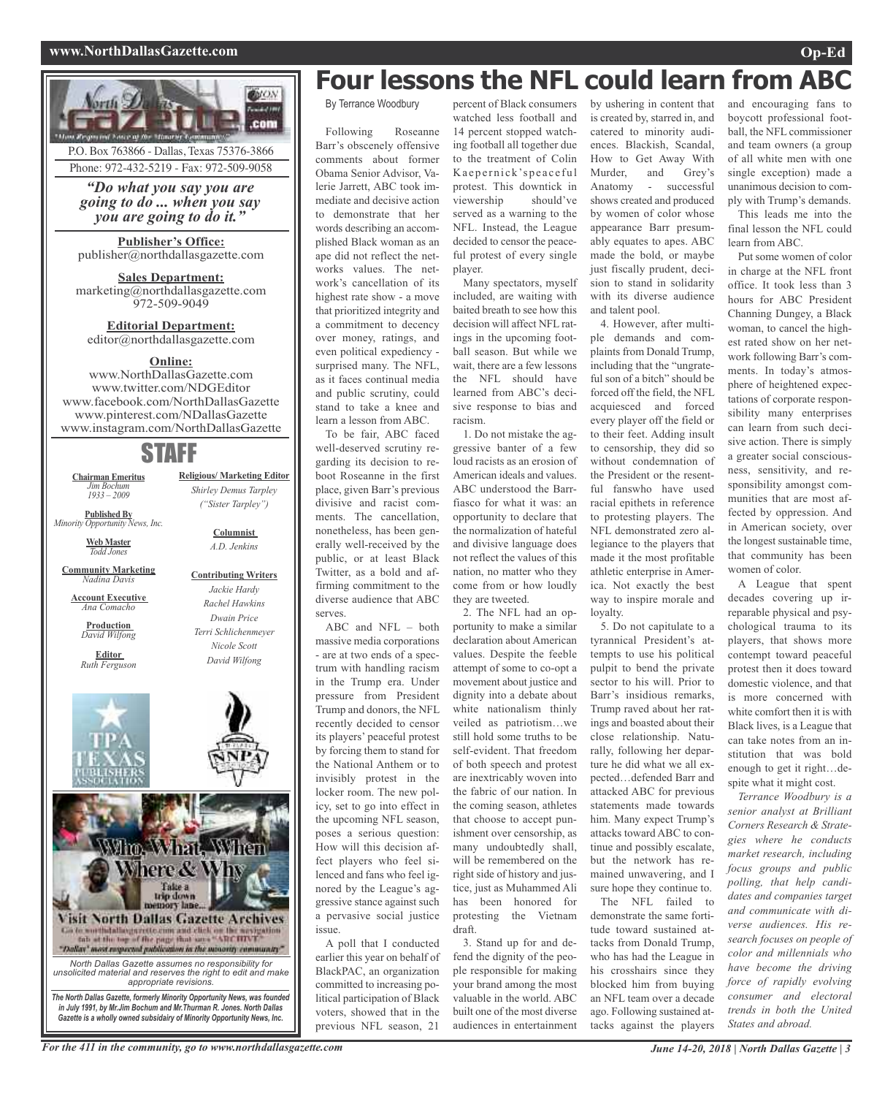#### **www.NorthDallasGazette.com Op-Ed**



## **Four lessons the NFL could learn from ABC**

By Terrance Woodbury

Following Roseanne Barr's obscenely offensive comments about former Obama Senior Advisor, Valerie Jarrett, ABC took immediate and decisive action to demonstrate that her words describing an accomplished Black woman as an ape did not reflect the networks values. The network's cancellation of its highest rate show - a move that prioritized integrity and a commitment to decency over money, ratings, and even political expediency surprised many. The NFL, as it faces continual media and public scrutiny, could stand to take a knee and learn a lesson from ABC.

To be fair, ABC faced well-deserved scrutiny regarding its decision to reboot Roseanne in the first place, given Barr's previous divisive and racist comments. The cancellation, nonetheless, has been generally well-received by the public, or at least Black Twitter, as a bold and affirming commitment to the diverse audience that ABC serves.

ABC and NFL – both massive media corporations - are at two ends of a spectrum with handling racism in the Trump era. Under pressure from President Trump and donors, the NFL recently decided to censor its players' peaceful protest by forcing them to stand for the National Anthem or to invisibly protest in the locker room. The new policy, set to go into effect in the upcoming NFL season, poses a serious question: How will this decision affect players who feel silenced and fans who feel ignored by the League's aggressive stance against such a pervasive social justice issue.

A poll that I conducted earlier this year on behalf of BlackPAC, an organization committed to increasing political participation of Black voters, showed that in the previous NFL season, 21

percent of Black consumers watched less football and 14 percent stopped watching football all together due to the treatment of Colin Kaepernick'speaceful protest. This downtick in viewership should've served as a warning to the NFL. Instead, the League decided to censor the peaceful protest of every single player.

Many spectators, myself included, are waiting with baited breath to see how this decision will affect NFL ratings in the upcoming football season. But while we wait, there are a few lessons the NFL should have learned from ABC's decisive response to bias and racism.

1. Do not mistake the aggressive banter of a few loud racists as an erosion of American ideals and values. ABC understood the Barrfiasco for what it was: an opportunity to declare that the normalization of hateful and divisive language does not reflect the values of this nation, no matter who they come from or how loudly they are tweeted.

2. The NFL had an opportunity to make a similar declaration about American values. Despite the feeble attempt of some to co-opt a movement about justice and dignity into a debate about white nationalism thinly veiled as patriotism…we still hold some truths to be self-evident. That freedom of both speech and protest are inextricably woven into the fabric of our nation. In the coming season, athletes that choose to accept punishment over censorship, as many undoubtedly shall, will be remembered on the right side of history and justice, just as Muhammed Ali has been honored for protesting the Vietnam draft.

3. Stand up for and defend the dignity of the people responsible for making your brand among the most valuable in the world. ABC built one of the most diverse audiences in entertainment by ushering in content that is created by, starred in, and catered to minority audiences. Blackish, Scandal, How to Get Away With Murder, and Grey's Anatomy - successful shows created and produced by women of color whose appearance Barr presumably equates to apes. ABC made the bold, or maybe just fiscally prudent, decision to stand in solidarity with its diverse audience and talent pool.

4. However, after multiple demands and complaints from Donald Trump, including that the "ungrateful son of a bitch" should be forced off the field, the NFL acquiesced and forced every player off the field or to their feet. Adding insult to censorship, they did so without condemnation of the President or the resentful fanswho have used racial epithets in reference to protesting players. The NFL demonstrated zero allegiance to the players that made it the most profitable athletic enterprise in America. Not exactly the best way to inspire morale and loyalty.

5. Do not capitulate to a tyrannical President's attempts to use his political pulpit to bend the private sector to his will. Prior to Barr's insidious remarks, Trump raved about her ratings and boasted about their close relationship. Naturally, following her departure he did what we all expected…defended Barr and attacked ABC for previous statements made towards him. Many expect Trump's attacks toward ABC to continue and possibly escalate, but the network has remained unwavering, and I sure hope they continue to.

The NFL failed to demonstrate the same fortitude toward sustained attacks from Donald Trump, who has had the League in his crosshairs since they blocked him from buying an NFL team over a decade ago. Following sustained attacks against the players

and encouraging fans to boycott professional football, the NFL commissioner and team owners (a group of all white men with one single exception) made a unanimous decision to comply with Trump's demands.

This leads me into the final lesson the NFL could learn from ABC.

Put some women of color in charge at the NFL front office. It took less than 3 hours for ABC President Channing Dungey, a Black woman, to cancel the highest rated show on her network following Barr's comments. In today's atmosphere of heightened expectations of corporate responsibility many enterprises can learn from such decisive action. There is simply a greater social consciousness, sensitivity, and responsibility amongst communities that are most affected by oppression. And in American society, over the longest sustainable time, that community has been women of color.

A League that spent decades covering up irreparable physical and psychological trauma to its players, that shows more contempt toward peaceful protest then it does toward domestic violence, and that is more concerned with white comfort then it is with Black lives, is a League that can take notes from an institution that was bold enough to get it right…despite what it might cost.

*Terrance Woodbury is a senior analyst at Brilliant Corners Research & Strategies where he conducts market research, including focus groups and public polling, that help candidates and companies target and communicate with diverse audiences. His research focuses on people of color and millennials who have become the driving force of rapidly evolving consumer and electoral trends in both the United States and abroad.*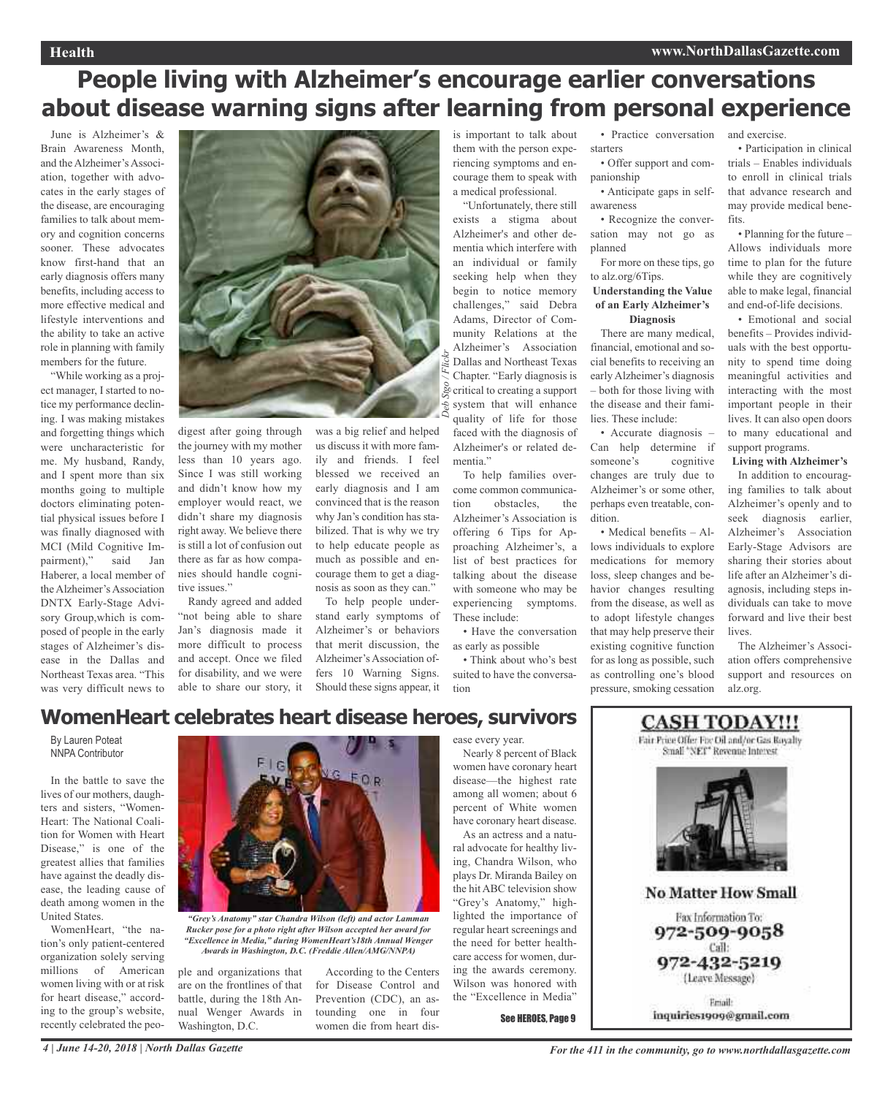## **People living with Alzheimer's encourage earlier conversations about disease warning signs after learning from personal experience**

June is Alzheimer's & Brain Awareness Month, and the Alzheimer's Association, together with advocates in the early stages of the disease, are encouraging families to talk about memory and cognition concerns sooner. These advocates know first-hand that an early diagnosis offers many benefits, including access to more effective medical and lifestyle interventions and the ability to take an active role in planning with family members for the future.

"While working as a project manager, I started to notice my performance declining. I was making mistakes and forgetting things which were uncharacteristic for me. My husband, Randy, and I spent more than six months going to multiple doctors eliminating potential physical issues before I was finally diagnosed with MCI (Mild Cognitive Impairment)," said Jan Haberer, a local member of the Alzheimer's Association DNTX Early-Stage Advisory Group,which is composed of people in the early stages of Alzheimer's disease in the Dallas and Northeast Texas area. "This was very difficult news to



digest after going through the journey with my mother less than 10 years ago. Since I was still working and didn't know how my employer would react, we didn't share my diagnosis right away. We believe there is still a lot of confusion out there as far as how companies should handle cognitive issues."

Randy agreed and added "not being able to share Jan's diagnosis made it more difficult to process and accept. Once we filed for disability, and we were able to share our story, it

was a big relief and helped us discuss it with more family and friends. I feel blessed we received an early diagnosis and I am convinced that is the reason why Jan's condition has stabilized. That is why we try to help educate people as much as possible and encourage them to get a diagnosis as soon as they can."

To help people understand early symptoms of Alzheimer's or behaviors that merit discussion, the Alzheimer's Association offers 10 Warning Signs. Should these signs appear, it

is important to talk about them with the person experiencing symptoms and encourage them to speak with a medical professional.

"Unfortunately, there still exists a stigma about Alzheimer's and other dementia which interfere with an individual or family seeking help when they begin to notice memory challenges," said Debra Adams, Director of Community Relations at the Alzheimer's Association Dallas and Northeast Texas Chapter. "Early diagnosis is critical to creating a support system that will enhance quality of life for those faced with the diagnosis of Alzheimer's or related dementia."

To help families overcome common communication obstacles, the Alzheimer's Association is offering 6 Tips for Approaching Alzheimer's, a list of best practices for talking about the disease with someone who may be experiencing symptoms. These include:

• Have the conversation as early as possible

• Think about who's best suited to have the conversation

• Practice conversation starters

• Offer support and companionship

• Anticipate gaps in selfawareness

• Recognize the conversation may not go as planned

For more on these tips, go to alz.org/6Tips.

#### **Understanding the Value of an Early Alzheimer's Diagnosis**

There are many medical, financial, emotional and social benefits to receiving an early Alzheimer's diagnosis – both for those living with the disease and their families. These include:

• Accurate diagnosis – Can help determine if someone's cognitive changes are truly due to Alzheimer's or some other, perhaps even treatable, condition.

• Medical benefits – Allows individuals to explore medications for memory loss, sleep changes and behavior changes resulting from the disease, as well as to adopt lifestyle changes that may help preserve their existing cognitive function for as long as possible, such as controlling one's blood pressure, smoking cessation and exercise.

• Participation in clinical trials – Enables individuals to enroll in clinical trials that advance research and may provide medical benefits.

• Planning for the future – Allows individuals more time to plan for the future while they are cognitively able to make legal, financial and end-of-life decisions.

• Emotional and social benefits – Provides individuals with the best opportunity to spend time doing meaningful activities and interacting with the most important people in their lives. It can also open doors to many educational and support programs.

**Living with Alzheimer's**

In addition to encouraging families to talk about Alzheimer's openly and to seek diagnosis earlier, Alzheimer's Association Early-Stage Advisors are sharing their stories about life after an Alzheimer's diagnosis, including steps individuals can take to move forward and live their best lives.

The Alzheimer's Association offers comprehensive support and resources on alz.org.

### **WomenHeart celebrates heart disease heroes, survivors**

By Lauren Poteat NNPA Contributor

In the battle to save the lives of our mothers, daughters and sisters, "Women-Heart: The National Coalition for Women with Heart Disease," is one of the greatest allies that families have against the deadly disease, the leading cause of death among women in the United States.

WomenHeart, "the nation's only patient-centered organization solely serving millions of American women living with or at risk for heart disease," according to the group's website, recently celebrated the peo-



*"Grey's Anatomy" star Chandra Wilson (left) and actor Lamman Rucker pose for a photo right after Wilson accepted her award for "Excellence in Media," during WomenHeart's18th Annual Wenger Awards in Washington, D.C. (Freddie Allen/AMG/NNPA)*

ple and organizations that are on the frontlines of that battle, during the 18th Annual Wenger Awards in Washington, D.C.

According to the Centers for Disease Control and Prevention (CDC), an astounding one in four women die from heart dis-

### ease every year.

Nearly 8 percent of Black women have coronary heart disease—the highest rate among all women; about 6 percent of White women have coronary heart disease. As an actress and a natu-

ral advocate for healthy living, Chandra Wilson, who plays Dr. Miranda Bailey on the hit ABC television show "Grey's Anatomy," highlighted the importance of regular heart screenings and the need for better healthcare access for women, during the awards ceremony. Wilson was honored with the "Excellence in Media"

See HEROES, Page 9



inquiries1909@gmnil.com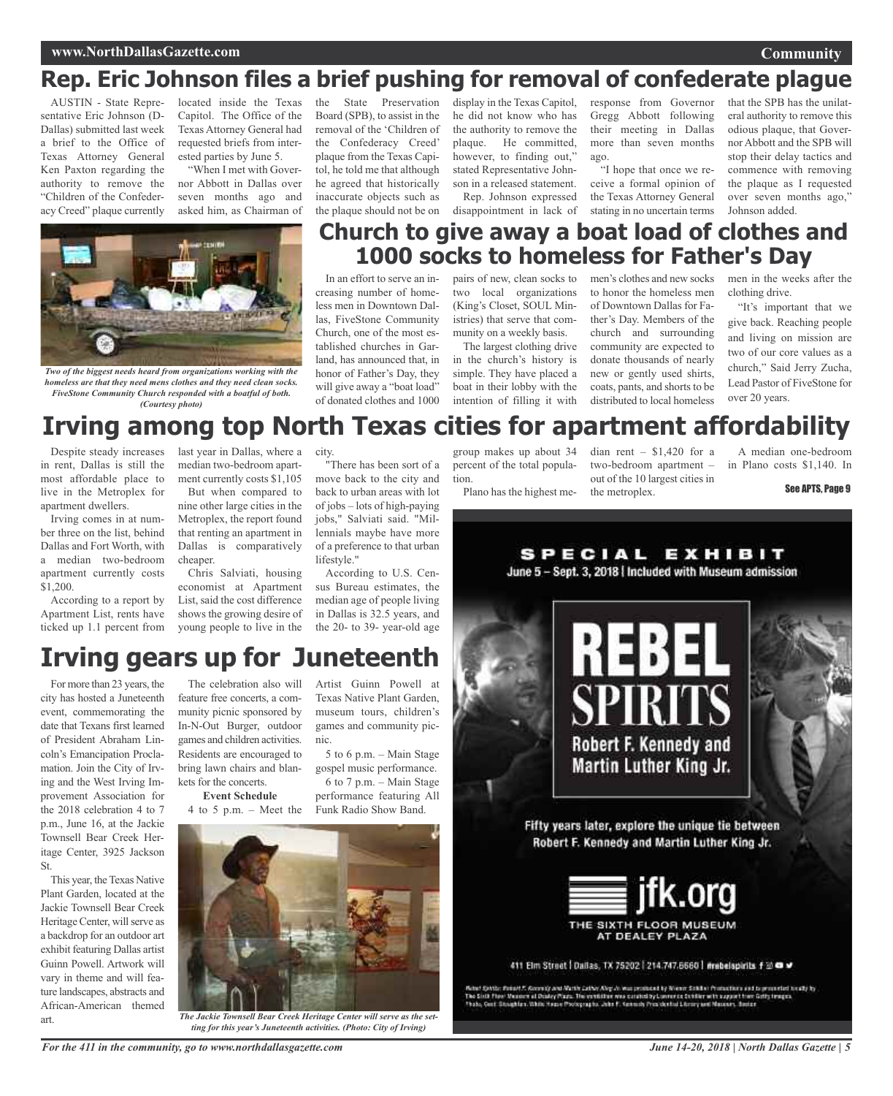#### **www.NorthDallasGazette.com**

### **Rep. Eric Johnson files a brief pushing for removal of confederate plague**

AUSTIN - State Representative Eric Johnson (D-Dallas) submitted last week a brief to the Office of Texas Attorney General Ken Paxton regarding the authority to remove the "Children of the Confederacy Creed" plaque currently

located inside the Texas Capitol. The Office of the Texas Attorney General had requested briefs from interested parties by June 5. "When I met with Gover-

nor Abbott in Dallas over seven months ago and asked him, as Chairman of

the State Preservation Board (SPB), to assist in the removal of the 'Children of the Confederacy Creed' plaque from the Texas Capitol, he told me that although he agreed that historically inaccurate objects such as the plaque should not be on

display in the Texas Capitol, he did not know who has the authority to remove the plaque. He committed, however, to finding out," stated Representative Johnson in a released statement. Rep. Johnson expressed

disappointment in lack of

response from Governor Gregg Abbott following their meeting in Dallas more than seven months ago.

"I hope that once we receive a formal opinion of the Texas Attorney General stating in no uncertain terms

that the SPB has the unilateral authority to remove this odious plaque, that Governor Abbott and the SPB will stop their delay tactics and commence with removing the plaque as I requested over seven months ago," Johnson added.

**Community**



*Two of the biggest needs heard from organizations working with the homeless are that they need mens clothes and they need clean socks. FiveStone Community Church responded with a boatful of both. (Courtesy photo)*

### **Church to give away a boat load of clothes and 1000 socks to homeless for Father's Day**

In an effort to serve an increasing number of homeless men in Downtown Dallas, FiveStone Community Church, one of the most established churches in Garland, has announced that, in honor of Father's Day, they will give away a "boat load" of donated clothes and 1000

pairs of new, clean socks to two local organizations (King's Closet, SOUL Ministries) that serve that community on a weekly basis.

The largest clothing drive in the church's history is simple. They have placed a boat in their lobby with the intention of filling it with

men's clothes and new socks to honor the homeless men of Downtown Dallas for Father's Day. Members of the church and surrounding community are expected to donate thousands of nearly new or gently used shirts, coats, pants, and shorts to be distributed to local homeless

men in the weeks after the clothing drive.

"It's important that we give back. Reaching people and living on mission are two of our core values as a church," Said Jerry Zucha, Lead Pastor of FiveStone for over 20 years.

## **Irving among top North Texas cities for apartment affordability**

Despite steady increases in rent, Dallas is still the most affordable place to live in the Metroplex for apartment dwellers.

Irving comes in at number three on the list, behind Dallas and Fort Worth, with a median two-bedroom apartment currently costs \$1,200.

According to a report by Apartment List, rents have ticked up 1.1 percent from

last year in Dallas, where a median two-bedroom apartment currently costs \$1,105

But when compared to nine other large cities in the Metroplex, the report found that renting an apartment in Dallas is comparatively cheaper.

Chris Salviati, housing economist at Apartment List, said the cost difference shows the growing desire of young people to live in the city.

"There has been sort of a move back to the city and back to urban areas with lot of jobs – lots of high-paying jobs," Salviati said. "Millennials maybe have more of a preference to that urban lifestyle."

According to U.S. Census Bureau estimates, the median age of people living in Dallas is 32.5 years, and the 20- to 39- year-old age

Artist Guinn Powell at Texas Native Plant Garden, museum tours, children's games and community pic-

5 to 6 p.m. – Main Stage gospel music performance. 6 to 7 p.m. – Main Stage performance featuring All Funk Radio Show Band.

group makes up about 34 percent of the total population.

Plano has the highest me-

dian rent – \$1,420 for a two-bedroom apartment – out of the 10 largest cities in the metroplex.

A median one-bedroom in Plano costs \$1,140. In

See APTS, Page 9

## **Irving gears up for Juneteenth**

For more than 23 years, the city has hosted a Juneteenth event, commemorating the date that Texans first learned of President Abraham Lincoln's Emancipation Proclamation. Join the City of Irving and the West Irving Improvement Association for the 2018 celebration 4 to 7 p.m., June 16, at the Jackie Townsell Bear Creek Heritage Center, 3925 Jackson St.

This year, the Texas Native Plant Garden, located at the Jackie Townsell Bear Creek Heritage Center, will serve as a backdrop for an outdoor art exhibit featuring Dallas artist Guinn Powell. Artwork will vary in theme and will feature landscapes, abstracts and African-American themed art.

The celebration also will feature free concerts, a community picnic sponsored by In-N-Out Burger, outdoor games and children activities. Residents are encouraged to bring lawn chairs and blankets for the concerts.

### **Event Schedule**

4 to 5 p.m. – Meet the

*The Jackie Townsell Bear Creek Heritage Center will serve as the set-*

nic.

*ting for this year's Juneteenth activities. (Photo: City of Irving)*

SPECIAL EXHIBIT June 5 - Sept. 3, 2018 | Included with Museum admission Robert F. Kennedy and Martin Luther King Jr. Fifty years later, explore the unique tie between Robert F. Kennedy and Martin Luther King Jr.



411 Elm Street | Dallas, TX 75202 | 214.747.6660 | #rebelspirits f to @ #

Actut Spatis: Pontet F. Georgiy and Math Cather Aley Av Mussonmand by Wenne Sokiller (Youtunities and is proceeded tocally by .<br>The Stati Flow Musson at Douby Plaza. The contribution was constelling Lovewice Schüler with a

*For the 411 in the community, go to www.northdallasgazette.com*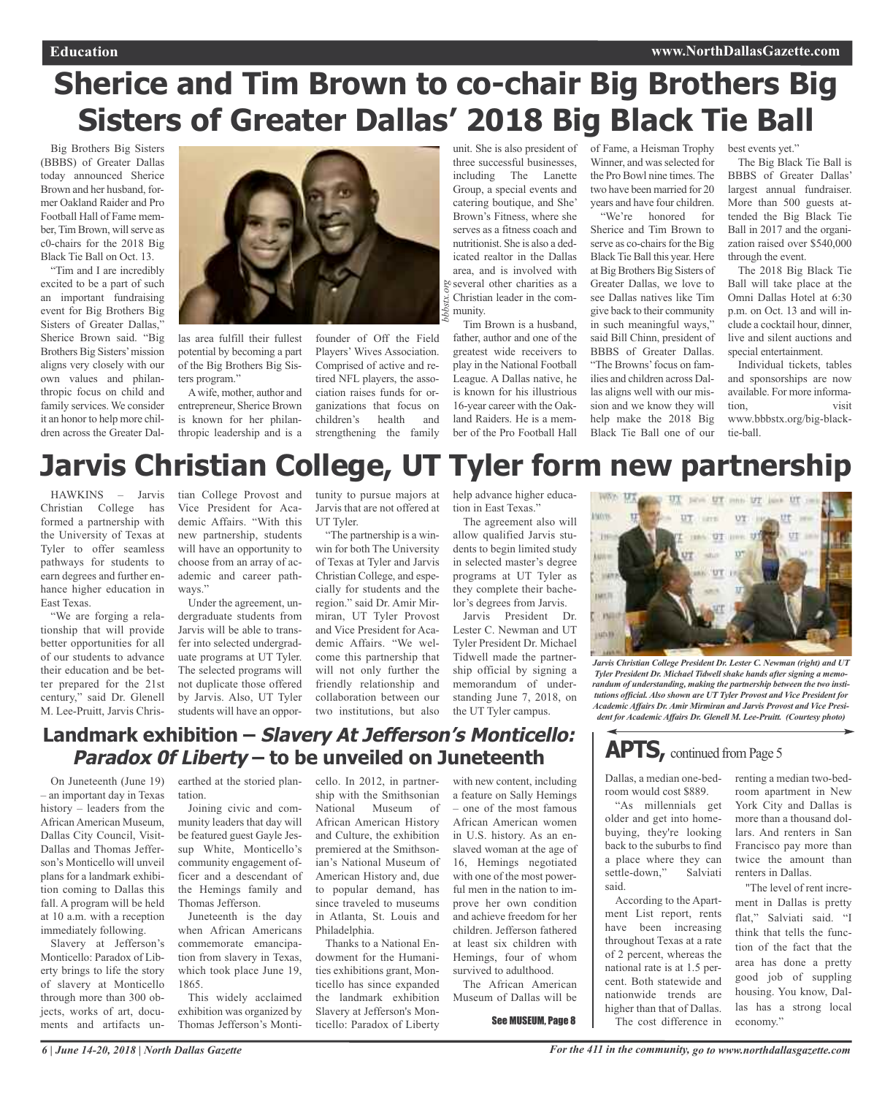# **Sherice and Tim Brown to co-chair Big Brothers Big Sisters of Greater Dallas' 2018 Big Black Tie Ball**

Big Brothers Big Sisters (BBBS) of Greater Dallas today announced Sherice Brown and her husband, former Oakland Raider and Pro Football Hall of Fame member, Tim Brown, will serve as c0-chairs for the 2018 Big Black Tie Ball on Oct. 13.

"Tim and I are incredibly excited to be a part of such an important fundraising event for Big Brothers Big Sisters of Greater Dallas," Sherice Brown said. "Big Brothers Big Sisters'mission aligns very closely with our own values and philanthropic focus on child and family services. We consider it an honor to help more children across the Greater Dal-



las area fulfill their fullest potential by becoming a part of the Big Brothers Big Sisters program."

Awife, mother, author and entrepreneur, Sherice Brown is known for her philanthropic leadership and is a

founder of Off the Field Players' Wives Association. Comprised of active and retired NFL players, the association raises funds for organizations that focus on children's health and strengthening the family

be several other charities as a<br>  $\frac{1}{25}$  Christian leader in the com-<br>  $\frac{1}{25}$  munity. unit. She is also president of of Fame, a Heisman Trophy three successful businesses, including The Lanette Group, a special events and catering boutique, and She' Brown's Fitness, where she serves as a fitness coach and nutritionist. She is also a dedicated realtor in the Dallas area, and is involved with Christian leader in the community.

Tim Brown is a husband, father, author and one of the greatest wide receivers to play in the National Football League. A Dallas native, he is known for his illustrious 16-year career with the Oakland Raiders. He is a member of the Pro Football Hall

Winner, and was selected for the Pro Bowl nine times. The two have been married for 20 years and have four children.

"We're honored for Sherice and Tim Brown to serve as co-chairs for the Big Black Tie Ball this year. Here at Big Brothers Big Sisters of Greater Dallas, we love to see Dallas natives like Tim give back to their community in such meaningful ways," said Bill Chinn, president of BBBS of Greater Dallas. "The Browns' focus on families and children across Dallas aligns well with our mission and we know they will help make the 2018 Big Black Tie Ball one of our best events yet."

The Big Black Tie Ball is BBBS of Greater Dallas' largest annual fundraiser. More than 500 guests attended the Big Black Tie Ball in 2017 and the organization raised over \$540,000 through the event.

The 2018 Big Black Tie Ball will take place at the Omni Dallas Hotel at 6:30 p.m. on Oct. 13 and will include a cocktail hour, dinner, live and silent auctions and special entertainment.

Individual tickets, tables and sponsorships are now available. For more information, visit www.bbbstx.org/big-blacktie-ball.

## **Jarvis Christian College, UT Tyler form new partnership**

HAWKINS – Jarvis Christian College has formed a partnership with the University of Texas at Tyler to offer seamless pathways for students to earn degrees and further enhance higher education in East Texas.

"We are forging a relationship that will provide better opportunities for all of our students to advance their education and be better prepared for the 21st century," said Dr. Glenell M. Lee-Pruitt, Jarvis Christian College Provost and Vice President for Academic Affairs. "With this new partnership, students will have an opportunity to choose from an array of academic and career pathways."

Under the agreement, undergraduate students from Jarvis will be able to transfer into selected undergraduate programs at UT Tyler. The selected programs will not duplicate those offered by Jarvis. Also, UT Tyler students will have an opportunity to pursue majors at Jarvis that are not offered at UT Tyler.

"The partnership is a winwin for both The University of Texas at Tyler and Jarvis Christian College, and especially for students and the region." said Dr. Amir Mirmiran, UT Tyler Provost and Vice President for Academic Affairs. "We welcome this partnership that will not only further the friendly relationship and collaboration between our two institutions, but also

help advance higher education in East Texas."

The agreement also will allow qualified Jarvis students to begin limited study in selected master's degree programs at UT Tyler as they complete their bachelor's degrees from Jarvis.

Jarvis President Dr. Lester C. Newman and UT Tyler President Dr. Michael Tidwell made the partnership official by signing a memorandum of understanding June 7, 2018, on the UT Tyler campus.



*Jarvis Christian College President Dr. Lester C. Newman (right) and UT Tyler President Dr. Michael Tidwell shake hands after signing a memorandum of understanding, making the partnership between the two institutions official. Also shown are UT Tyler Provost and Vice President for Academic Affairs Dr. Amir Mirmiran and Jarvis Provost and Vice President for Academic Affairs Dr. Glenell M. Lee-Pruitt. (Courtesy photo)*

### **APTS**, continued from Page 5

Dallas, a median one-bedroom would cost \$889.

"As millennials get older and get into homebuying, they're looking back to the suburbs to find a place where they can settle-down," Salviati said.

According to the Apartment List report, rents have been increasing throughout Texas at a rate of 2 percent, whereas the national rate is at 1.5 percent. Both statewide and nationwide trends are higher than that of Dallas. The cost difference in renting a median two-bedroom apartment in New York City and Dallas is more than a thousand dollars. And renters in San Francisco pay more than twice the amount than renters in Dallas.

"The level of rent increment in Dallas is pretty flat," Salviati said. "I think that tells the function of the fact that the area has done a pretty good job of suppling housing. You know, Dallas has a strong local economy."

### **Landmark exhibition – Slavery At Jefferson's Monticello: Paradox 0f Liberty – to be unveiled on Juneteenth**

On Juneteenth (June 19) – an important day in Texas history – leaders from the African American Museum, Dallas City Council, Visit-Dallas and Thomas Jefferson's Monticello will unveil plans for a landmark exhibition coming to Dallas this fall. A program will be held at 10 a.m. with a reception immediately following.

Slavery at Jefferson's Monticello: Paradox of Liberty brings to life the story of slavery at Monticello through more than 300 objects, works of art, documents and artifacts un-

earthed at the storied plan-cello. In 2012, in partnertation.

Joining civic and community leaders that day will be featured guest Gayle Jessup White, Monticello's community engagement officer and a descendant of the Hemings family and Thomas Jefferson.

Juneteenth is the day when African Americans commemorate emancipation from slavery in Texas, which took place June 19, 1865.

This widely acclaimed exhibition was organized by Thomas Jefferson's Monti-

ship with the Smithsonian National Museum of African American History and Culture, the exhibition premiered at the Smithsonian's National Museum of American History and, due to popular demand, has since traveled to museums in Atlanta, St. Louis and Philadelphia Thanks to a National En-

dowment for the Humanities exhibitions grant, Monticello has since expanded the landmark exhibition Slavery at Jefferson's Monticello: Paradox of Liberty

with new content, including a feature on Sally Hemings – one of the most famous African American women in U.S. history. As an enslaved woman at the age of 16, Hemings negotiated with one of the most powerful men in the nation to improve her own condition and achieve freedom for her children. Jefferson fathered at least six children with Hemings, four of whom survived to adulthood. The African American

Museum of Dallas will be

See MUSEUM, Page 8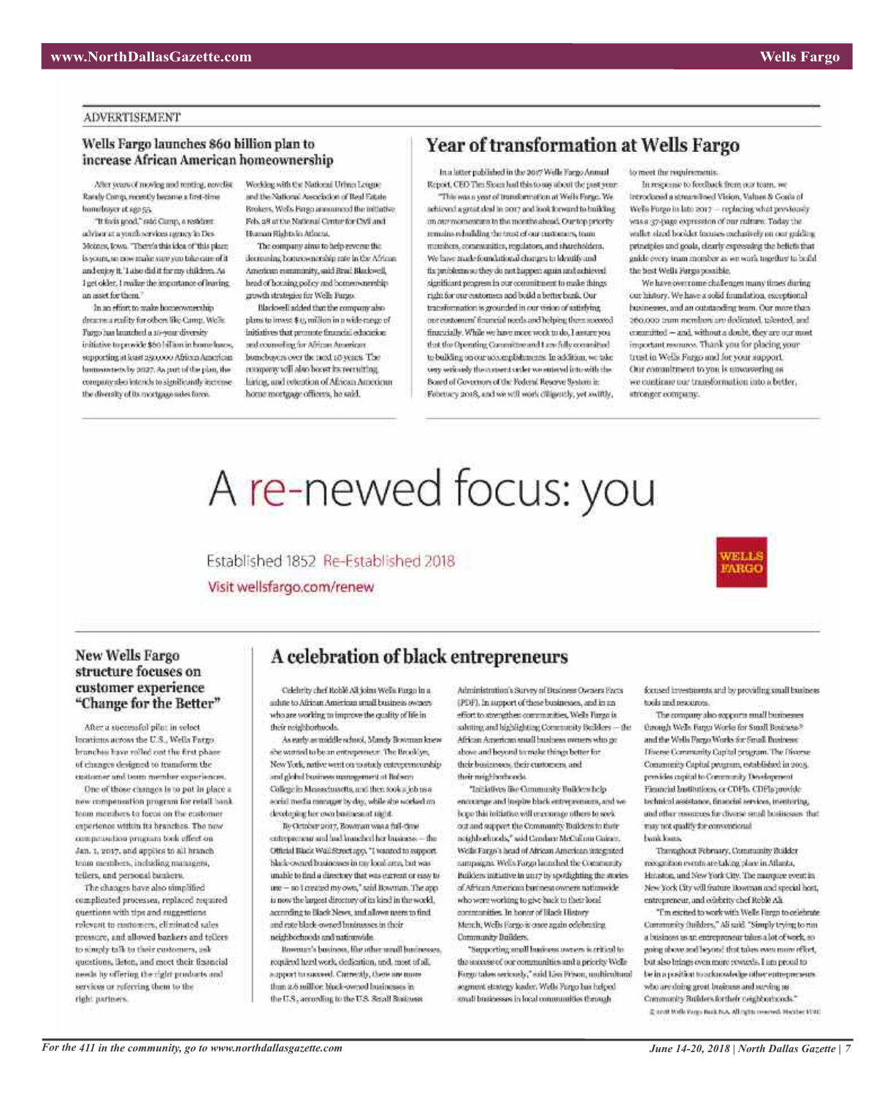#### **ADVERTISEMENT**

### Wells Fargo launches 860 billion plan to increase African American homeownership

After years of moving and renting, covelist Randy Comp, recently became a first-time homelower at sga 55.

"It facia good," said Camp, a resident advisor at a youth services agency in Des-Molney, Jowa. "There's this idea of 'this place. Is yours, so cow make sure you take oure of it and enjoy it.' I also did it for my children. As I get older. I walke the importance of leaving. an asset for them."

In an effort to make homeownership dreams a reality for others like Camp. We're Pargo has launched a so-your diversity initiative to provide \$60 hillium in home loaps; supporting at loast asyopoo African American homeostets by 2027. As put of the plan, the company doo intends to significantly increasethe diversity of its mortgage sales force.

Working with the National Urban League and the National Association of Real Estate Brokers, Wells Forge announced the initiative. Fels, 28 at the National Center for CMI and Hueson Rights in Adams.

The company aims to help reverse this decreasing botten-enership rate in the African American expansivity, said Brad Blackwell, head of housing policy and bomen-merebipgrowth strategies for Wells Pargo. Blackwell added that the company also

plans to invest \$15 million in a wide-mage of buitatives that promote financial education. and counseling for African American homeboyers over the next 10 years. The company will also been its recruiting. luring, and retention of African American home mortgage officers, he said.

### Year of transformation at Wells Fargo

In a latter published in the 2017 Wells Forge Annual Report, CEO Thm Sham had this to say about the past year.

"This was a year of trunsformation at Wells Forge. We achieved a great deal in 2017 and look forward to huikling on our momentum in the months shead. Our top priority remains rehulding the trust of our customers, tram members, communities, resplators, and shareholders. We have made foundational charges to kleatify and fix problems so they do not happen again and achieved. significant progress in our commitment to make things. right for our customers and build a better bank. Our transformation is grounded in our vision of satisfying opressioners' fearedal nords and helping them seaseed financially. While we have more work to do, I assume you but the Operating Committee and Law fully committed to building on our accomplishments. In addition, we take very seriously the consent order we entered into with the Board of Covernors of the Federal Reserve System in February 2018, and we will work diligently, yet awilly,

to meet the requirements.

In respects to feedback from our team, we Introduced a streamlined Vision, Values & Goals of We'ls Furgo in late 2017 - replacing what proviously was a 37-page expression of our culture. Today the walket sized booklet focuses exclusively on our guiding principles and goals, clearly expressing the helicfs that gaide every tram monber as we work together to build. the hest Wells Furgis possible.

We have overcome challenges many times during cur history. We have a solid foundation, exceptional businesses, and an outstanding team. Our more than has betted a butailor are dedicated, and coo obecommitted - and, without a doubt, they are our most important manures. Thank you for placing your trust in Wells Fargo and for your support. Our commitment to you is unwavering as we continue our transformation into a better. stronger company.

# A re-newed focus: you

Established 1852 Re-Established 2018 Visit wellsfargo.com/renew



### New Wells Fargo structure focuses on customer experience "Change for the Better"

After a successful pilot in veloct Intations across the U.S., Wells Fargo. branches have rolled out the first phase. of changes designed to transform the costomer and team member experiences.

One of those changes is to put in place a new compensation program for retail bank. team members to focus on the customer experience within its branches. The tww compensation program took effect on Jan. 1, 2017, and applies to all hranch team members, including numigers, tellers, and personal bankers.

The changes have also simplified complicated processes, replaced required questions with tips and suggestions. relevant to costomers, eliminated sales pressure, and allowed bankers and tellers to simply talk to their customers, ask questions, Seton, and most their financial needs by offering the right products and services or referring them to the right partners.

### A celebration of black entrepreneurs

Celebrity chef Roblé Alt joins Wells Pargo in a aidate to African American untail business owners who are working to improve the quality of life in their neighborhoods.

As early as middle school, Mandy Bowman knew she wanted to be an entrepreneur. The Brooklyn New York, native wont on to study entrepreneurship and global business management at Brésem College in Mussachusetts, and then took a job as a social media manager by day, while she worked on developing her own business at night.

By October 2017, Bowman was a full-time entrepreneur and had knutched her business. - the Official Black Wall Street app, "I wanted to support black-owned businesses in my local area, but was unable to find a directory that was extent or case to une - no I created my own," said Bowman. The appis now the largest directory of its kind in the world. according to Black News, and allows were to find. and rate black-owned Imainasses in their neichborhoods and rationwide.

Rowman's bosiness, for other small businesses, required herd work, dedication, and, most of all, apport to succeed. Correctly, there are more than 2.6 million biock-owned businesses in the U.S., according to the U.S. Small Business

Administration's Survey of Business Owners Facts (PDF). In support of these businesses, and in an effort to strengthen communities. Wells J'argo is ashtting and highlighting Community Builders - the African American small business owners who go above and beyond to make things better for their basinesses, their customers, and their mighborhoods.

"Initiatives like Community Hullders belp encourage and inspire black entrepreneurs, and we bego this initiative will or ecompy others to seek out and support the Community Builders in their neighborhuods," said Candary McCulinn Cainer. Wells Fargo's head of African American integrated nampaigns. Wells Fargo launched the Community Builders initiative in 2017 by spotlighting the stories of African American business owners nationwide who were working to give back to their local controvative. In honor of Black History Mench, Wells Fargo is once again edisbrating Community Builders.

"Supporting small husiness awarem is critical to the secons of our communities and a priority Wells Kasp takes seriously," said Lisa Frison, multicultural segmunt strategy leader. Wells Fargo has helped small businesses in local communities through

focused investments and by providing small business tools and resources.

**ARG** 

The company also exports small businesses through Wells Fanga Works for Small Bosiness.<sup>16</sup> and the Wells Pargo Works for Small Business: Diverse Community Capital program. The Diverse Community Capital program, established in 2005. provides capital to Community Development Eksancial Institutions, or CDFIs. CDFIs provide technical assistance, financial services, insultaring, and other monerats for diverse small businesses: that may not qualify for convergional **Lynk Kans** 

Thereghout February, Community Builder recognitato evento are taking place in Atlanta, Hmaton, and New York City. The manquire event in New York City will feature Bowman and special bost, entrepreneur, and celebrity chef Roble Ali.

"I'm gripped to work with Wells Fargo to celebrate. Community Italidass," Ali said: "Simply trying to run. a business as an entrepreneur takes a lot of work, so going above and beyond that takes over more effort, but slso brings oven more rewards. I am proud to be in a position to acknowledge other entrepreneurs. ist grifvus bits sextiand turng grifob and why Community Builders for their neighborhoods." g and hide rags but too. All right rewred. Heater VMC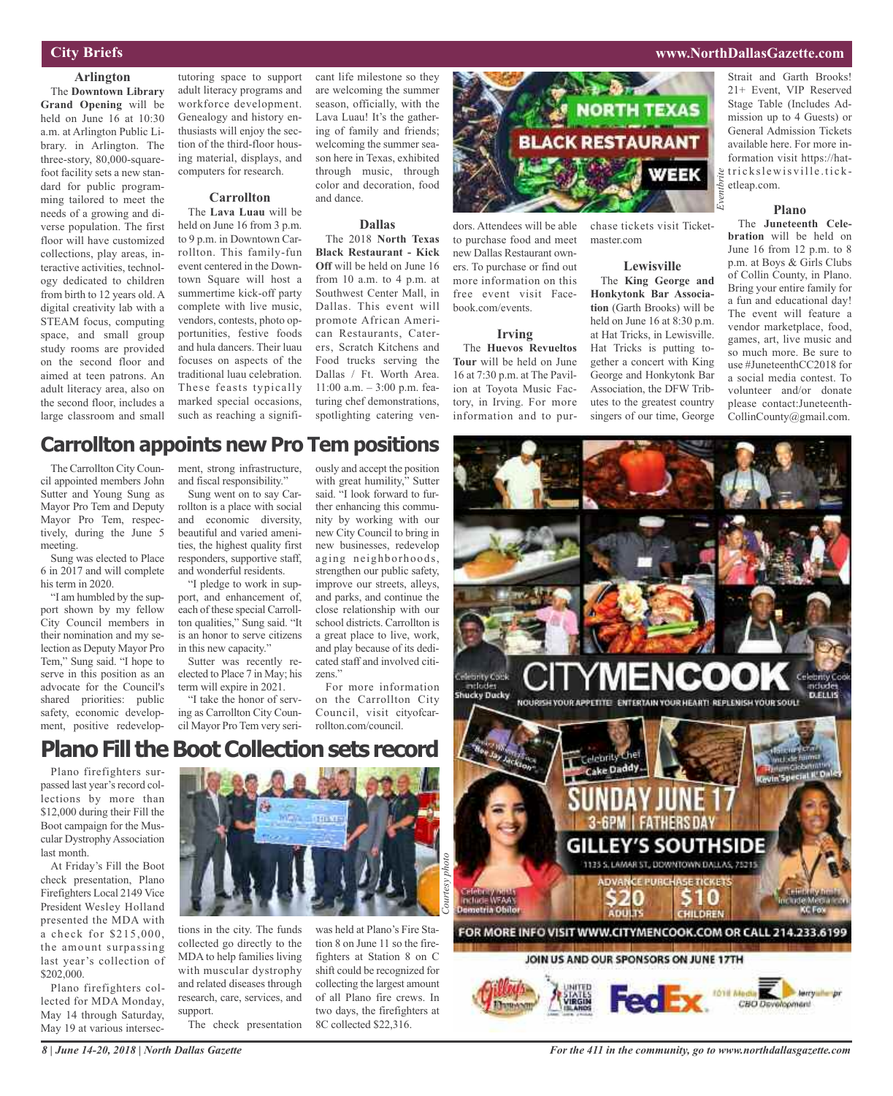### **City Briefs**

#### **Arlington**

The **Downtown Library Grand Opening** will be held on June 16 at 10:30 a.m. at Arlington Public Library. in Arlington. The three-story, 80,000-squarefoot facility sets a new standard for public programming tailored to meet the needs of a growing and diverse population. The first floor will have customized collections, play areas, interactive activities, technology dedicated to children from birth to 12 years old. A digital creativity lab with a STEAM focus, computing space, and small group study rooms are provided on the second floor and aimed at teen patrons. An adult literacy area, also on the second floor, includes a large classroom and small

tutoring space to support adult literacy programs and workforce development. Genealogy and history enthusiasts will enjoy the section of the third-floor housing material, displays, and computers for research.

#### **Carrollton**

The **Lava Luau** will be held on June 16 from 3 p.m. to 9 p.m. in Downtown Carrollton. This family-fun event centered in the Downtown Square will host a summertime kick-off party complete with live music, vendors, contests, photo opportunities, festive foods and hula dancers. Their luau focuses on aspects of the traditional luau celebration. These feasts typically marked special occasions, such as reaching a significant life milestone so they are welcoming the summer season, officially, with the Lava Luau! It's the gathering of family and friends; welcoming the summer season here in Texas, exhibited through music, through color and decoration, food and dance.

#### **Dallas**

The 2018 **North Texas Black Restaurant - Kick Off** will be held on June 16 from 10 a.m. to 4 p.m. at Southwest Center Mall, in Dallas. This event will promote African American Restaurants, Caterers, Scratch Kitchens and Food trucks serving the Dallas / Ft. Worth Area. 11:00 a.m. – 3:00 p.m. featuring chef demonstrations, spotlighting catering ven-



dors. Attendees will be able to purchase food and meet new Dallas Restaurant owners. To purchase or find out more information on this free event visit Facebook.com/events.

#### **Irving**

The **Huevos Revueltos Tour** will be held on June 16 at 7:30 p.m. at The Pavilion at Toyota Music Factory, in Irving. For more information and to purchase tickets visit Ticketmaster.com

### **Lewisville**

The **King George and Honkytonk Bar Association** (Garth Brooks) will be held on June 16 at 8:30 p.m. at Hat Tricks, in Lewisville. Hat Tricks is putting together a concert with King George and Honkytonk Bar Association, the DFW Tributes to the greatest country singers of our time, George

Strait and Garth Brooks! 21+ Event, VIP Reserved Stage Table (Includes Admission up to 4 Guests) or General Admission Tickets available here. For more information visit https://hat- $\frac{1}{2}$  tricks lewis ville.ticketleap.com.

**www.NorthDallasGazette.com**

### **Plano**

The **Juneteenth Celebration** will be held on June 16 from 12 p.m. to 8 p.m. at Boys & Girls Clubs of Collin County, in Plano. Bring your entire family for a fun and educational day! The event will feature a vendor marketplace, food, games, art, live music and so much more. Be sure to use #JuneteenthCC2018 for a social media contest. To volunteer and/or donate please contact:Juneteenth-CollinCounty@gmail.com.

### **Carrollton appoints new Pro Tem positions**

The Carrollton City Council appointed members John Sutter and Young Sung as Mayor Pro Tem and Deputy Mayor Pro Tem, respectively, during the June 5 meeting.

Sung was elected to Place 6 in 2017 and will complete his term in 2020.

"I am humbled by the support shown by my fellow City Council members in their nomination and my selection as Deputy Mayor Pro Tem," Sung said. "I hope to serve in this position as an advocate for the Council's shared priorities: public safety, economic development, positive redevelopment, strong infrastructure, and fiscal responsibility."

Sung went on to say Carrollton is a place with social and economic diversity, beautiful and varied amenities, the highest quality first responders, supportive staff, and wonderful residents.

"I pledge to work in support, and enhancement of, each of these special Carrollton qualities," Sung said. "It is an honor to serve citizens in this new capacity."

Sutter was recently reelected to Place 7 in May; his term will expire in 2021.

"I take the honor of serving as Carrollton City Council Mayor Pro Tem very seri-

with great humility," Sutter said. "I look forward to further enhancing this community by working with our new City Council to bring in new businesses, redevelop aging neighborhoods, strengthen our public safety, improve our streets, alleys, and parks, and continue the close relationship with our school districts. Carrollton is a great place to live, work, and play because of its dedicated staff and involved citizens<sup>'</sup>

ously and accept the position

For more information on the Carrollton City Council, visit cityofcarrollton.com/council.

### **PlanoFill theBootCollectionsets record**

Plano firefighters surpassed last year's record collections by more than \$12,000 during their Fill the Boot campaign for the Muscular DystrophyAssociation last month.

At Friday's Fill the Boot check presentation, Plano Firefighters Local 2149 Vice President Wesley Holland presented the MDA with a check for \$215,000, the amount surpassing last year's collection of \$202,000.

Plano firefighters collected for MDA Monday, May 14 through Saturday, May 19 at various intersec-



tions in the city. The funds collected go directly to the MDA to help families living with muscular dystrophy and related diseases through research, care, services, and support. The check presentation

was held at Plano's Fire Station 8 on June 11 so the firefighters at Station 8 on C shift could be recognized for collecting the largest amount of all Plano fire crews. In two days, the firefighters at 8C collected \$22,316.



*8 | June 14-20, 2018 | North Dallas Gazette*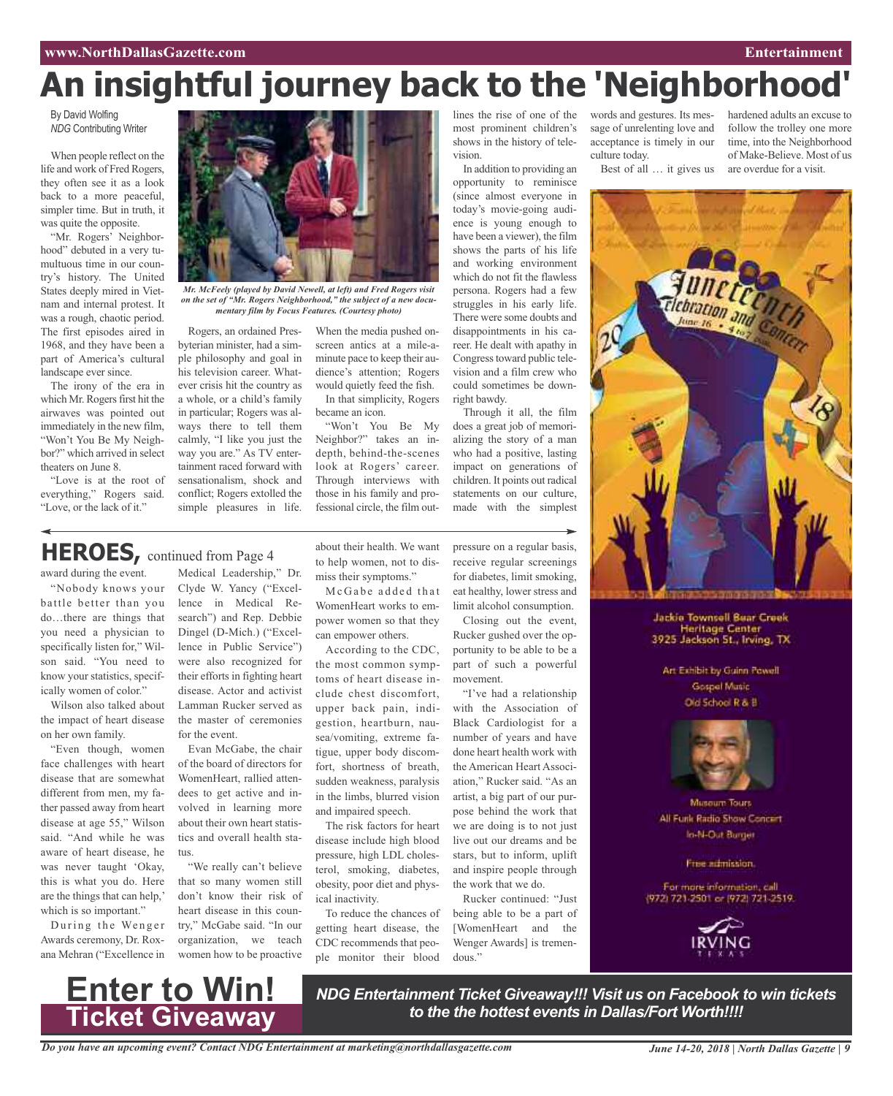## **An insightful journey back to the 'Neighborhood'**

By David Wolfing *NDG* Contributing Writer

When people reflect on the life and work of Fred Rogers, they often see it as a look back to a more peaceful, simpler time. But in truth, it was quite the opposite.

"Mr. Rogers' Neighborhood" debuted in a very tumultuous time in our country's history. The United States deeply mired in Vietnam and internal protest. It was a rough, chaotic period. The first episodes aired in 1968, and they have been a part of America's cultural landscape ever since.

The irony of the era in which Mr. Rogers first hit the airwaves was pointed out immediately in the new film, "Won't You Be My Neighbor?" which arrived in select theaters on June 8.

"Love is at the root of everything," Rogers said. "Love, or the lack of it."

**HEROES,** continued from Page <sup>4</sup>

award during the event. "Nobody knows your battle better than you do…there are things that you need a physician to specifically listen for," Wilson said. "You need to know your statistics, specifically women of color." Wilson also talked about the impact of heart disease

on her own family.

"Even though, women face challenges with heart disease that are somewhat different from men, my father passed away from heart disease at age 55," Wilson said. "And while he was aware of heart disease, he was never taught 'Okay, this is what you do. Here are the things that can help,' which is so important."



*Mr. McFeely (played by David Newell, at left) and Fred Rogers visit on the set of "Mr. Rogers Neighborhood," the subject of a new documentary film by Focus Features. (Courtesy photo)*

Rogers, an ordained Presbyterian minister, had a simple philosophy and goal in his television career. Whatever crisis hit the country as a whole, or a child's family in particular; Rogers was always there to tell them calmly, "I like you just the way you are." As TV entertainment raced forward with sensationalism, shock and conflict; Rogers extolled the simple pleasures in life.

Medical Leadership," Dr. Clyde W. Yancy ("Excellence in Medical Research") and Rep. Debbie Dingel (D-Mich.) ("Excellence in Public Service") were also recognized for their efforts in fighting heart disease. Actor and activist Lamman Rucker served as the master of ceremonies

Evan McGabe, the chair of the board of directors for WomenHeart, rallied attendees to get active and involved in learning more about their own heart statistics and overall health sta-

"We really can't believe that so many women still don't know their risk of heart disease in this country," McGabe said. "In our organization, we teach

for the event.

When the media pushed onscreen antics at a mile-aminute pace to keep their audience's attention; Rogers would quietly feed the fish. In that simplicity, Rogers

became an icon. "Won't You Be My Neighbor?" takes an indepth, behind-the-scenes look at Rogers' career. Through interviews with those in his family and professional circle, the film out-

about their health. We want to help women, not to dismiss their symptoms." McGabe added that WomenHeart works to empower women so that they can empower others.

According to the CDC, the most common symptoms of heart disease include chest discomfort, upper back pain, indigestion, heartburn, nausea/vomiting, extreme fatigue, upper body discomfort, shortness of breath, sudden weakness, paralysis in the limbs, blurred vision and impaired speech.

The risk factors for heart disease include high blood pressure, high LDL cholesterol, smoking, diabetes, obesity, poor diet and phys-

To reduce the chances of getting heart disease, the CDC recommends that people monitor their blood

ical inactivity.

lines the rise of one of the most prominent children's shows in the history of television.

In addition to providing an opportunity to reminisce (since almost everyone in today's movie-going audience is young enough to have been a viewer), the film shows the parts of his life and working environment which do not fit the flawless persona. Rogers had a few struggles in his early life. There were some doubts and disappointments in his career. He dealt with apathy in Congresstoward public television and a film crew who could sometimes be downright bawdy.

Through it all, the film does a great job of memorializing the story of a man who had a positive, lasting impact on generations of children. It points out radical statements on our culture, made with the simplest

pressure on a regular basis, receive regular screenings for diabetes, limit smoking, eat healthy, lower stress and limit alcohol consumption.

Closing out the event, Rucker gushed over the opportunity to be able to be a part of such a powerful movement.

"I've had a relationship with the Association of Black Cardiologist for a number of years and have done heart health work with the American Heart Association," Rucker said. "As an artist, a big part of our purpose behind the work that we are doing is to not just live out our dreams and be stars, but to inform, uplift and inspire people through the work that we do.

Rucker continued: "Just being able to be a part of [WomenHeart and the Wenger Awards] is tremendous."

words and gestures. Its message of unrelenting love and acceptance is timely in our culture today. Best of all … it gives us

time, into the Neighborhood of Make-Believe. Most of us are overdue for a visit.

hardened adults an excuse to follow the trolley one more

**Jackie Townsell Bear Creek** Heritage Center<br>3925 Jackson St., Irving, TX

Art Exhibit by Guinn Powell **Gospel Masic** Old School R & B



**Museum Tours** All Funk Radio Show Concert In-N-Out Burger

Free admission.

For more information, call (972) 721-2501 or (972) 721-2519.



During the Wenger Awards ceremony, Dr. Roxana Mehran ("Excellence in



tus.

*NDG Entertainment Ticket Giveaway!!! Visit us on Facebook to win tickets to the the hottest events in Dallas/Fort Worth!!!!*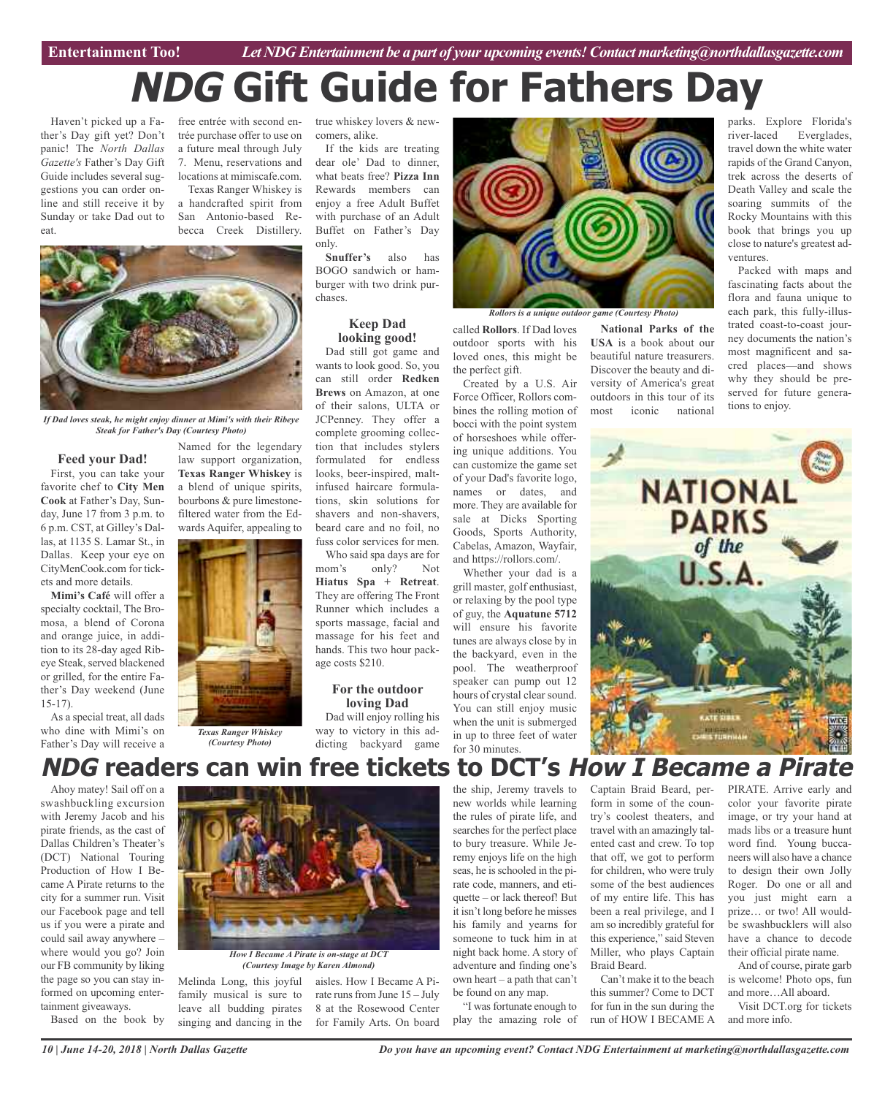**Car Review Entertainment Too!** *Let NDG Entertainment be a part of your upcoming events!Contactmarketing@northdallasgazette.com*

# **NDG Gift Guide for Fathers Day**

Haven't picked up a Father's Day gift yet? Don't panic! The *North Dallas Gazette's* Father's Day Gift Guide includes several suggestions you can order online and still receive it by Sunday or take Dad out to eat.

free entrée with second en-true whiskey lovers & newtrée purchase offer to use on a future meal through July 7. Menu, reservations and locations at mimiscafe.com. Texas Ranger Whiskey is

a handcrafted spirit from San Antonio-based Rebecca Creek Distillery.



*If Dad loves steak, he might enjoy dinner at Mimi's with their Ribeye Steak for Father's Day (Courtesy Photo)*

#### **Feed your Dad!**

First, you can take your favorite chef to **City Men Cook** at Father's Day, Sunday, June 17 from 3 p.m. to 6 p.m. CST, at Gilley's Dallas, at 1135 S. Lamar St., in Dallas. Keep your eye on CityMenCook.com for tickets and more details.

**Mimi's Café** will offer a specialty cocktail, The Bromosa, a blend of Corona and orange juice, in addition to its 28-day aged Ribeye Steak, served blackened or grilled, for the entire Father's Day weekend (June 15-17).

As a special treat, all dads who dine with Mimi's on Father's Day will receive a

Ahoy matey! Sail off on a swashbuckling excursion with Jeremy Jacob and his pirate friends, as the cast of Dallas Children's Theater's (DCT) National Touring Production of How I Became A Pirate returns to the city for a summer run. Visit our Facebook page and tell us if you were a pirate and could sail away anywhere – where would you go? Join our FB community by liking the page so you can stay informed on upcoming entertainment giveaways.

Based on the book by

Named for the legendary law support organization, **Texas Ranger Whiskey** is a blend of unique spirits, bourbons & pure limestonefiltered water from the Edwards Aquifer, appealing to



*(Courtesy Photo)*

comers, alike.

If the kids are treating dear ole' Dad to dinner, what beats free? **Pizza Inn** Rewards members can enjoy a free Adult Buffet with purchase of an Adult Buffet on Father's Day only.

**Snuffer's** also has BOGO sandwich or hamburger with two drink purchases.

#### **Keep Dad looking good!**

Dad still got game and wants to look good. So, you can still order **Redken Brews** on Amazon, at one of their salons, ULTA or JCPenney. They offer a complete grooming collection that includes stylers formulated for endless looks, beer-inspired, maltinfused haircare formulations, skin solutions for shavers and non-shavers, beard care and no foil, no fuss color services for men. Who said spa days are for

mom's only? Not **Hiatus Spa + Retreat**. They are offering The Front Runner which includes a sports massage, facial and massage for his feet and hands. This two hour package costs \$210.

#### **For the outdoor loving Dad**

Dad will enjoy rolling his way to victory in this addicting backyard game



*Rollors is a unique outdoor game (Courtesy Photo)*

called **Rollors**. If Dad loves outdoor sports with his loved ones, this might be the perfect gift.

Created by a U.S. Air Force Officer, Rollors combines the rolling motion of bocci with the point system of horseshoes while offering unique additions. You can customize the game set of your Dad's favorite logo, names or dates, and more. They are available for sale at Dicks Sporting Goods, Sports Authority, Cabelas, Amazon, Wayfair, and https://rollors.com/.

Whether your dad is a grill master, golf enthusiast, or relaxing by the pool type of guy, the **Aquatune 5712** will ensure his favorite tunes are always close by in the backyard, even in the pool. The weatherproof speaker can pump out 12 hours of crystal clear sound. You can still enjoy music when the unit is submerged in up to three feet of water for 30 minutes.

**National Parks of the USA** is a book about our beautiful nature treasurers. Discover the beauty and diversity of America's great outdoors in this tour of its most iconic national

parks. Explore Florida's river-laced Everglades, travel down the white water rapids of the Grand Canyon, trek across the deserts of Death Valley and scale the soaring summits of the Rocky Mountains with this book that brings you up close to nature's greatest adventures.

Packed with maps and fascinating facts about the flora and fauna unique to each park, this fully-illustrated coast-to-coast journey documents the nation's most magnificent and sacred places—and shows why they should be preserved for future generations to enjoy.



### **NDG readers can win free tickets to DCT's How I Became <sup>a</sup> Pirate**



*How I Became A Pirate is on-stage at DCT (Courtesy Image by Karen Almond)*

Melinda Long, this joyful aisles. How I Became A Pifamily musical is sure to leave all budding pirates singing and dancing in the

rate runs from June  $15 -$  July 8 at the Rosewood Center for Family Arts. On board the ship, Jeremy travels to new worlds while learning the rules of pirate life, and searches for the perfect place to bury treasure. While Jeremy enjoys life on the high seas, he is schooled in the pirate code, manners, and etiquette – or lack thereof! But it isn't long before he misses his family and yearns for someone to tuck him in at night back home. A story of adventure and finding one's own heart – a path that can't be found on any map.

"I was fortunate enough to play the amazing role of Captain Braid Beard, perform in some of the country's coolest theaters, and travel with an amazingly talented cast and crew. To top that off, we got to perform for children, who were truly some of the best audiences of my entire life. This has been a real privilege, and I am so incredibly grateful for this experience," said Steven Miller, who plays Captain Braid Beard.

Can't make it to the beach this summer? Come to DCT for fun in the sun during the run of HOW I BECAME A PIRATE. Arrive early and color your favorite pirate image, or try your hand at mads libs or a treasure hunt word find. Young buccaneers will also have a chance to design their own Jolly Roger. Do one or all and you just might earn a prize… or two! All wouldbe swashbucklers will also have a chance to decode their official pirate name.

And of course, pirate garb is welcome! Photo ops, fun and more…All aboard. Visit DCT.org for tickets

and more info.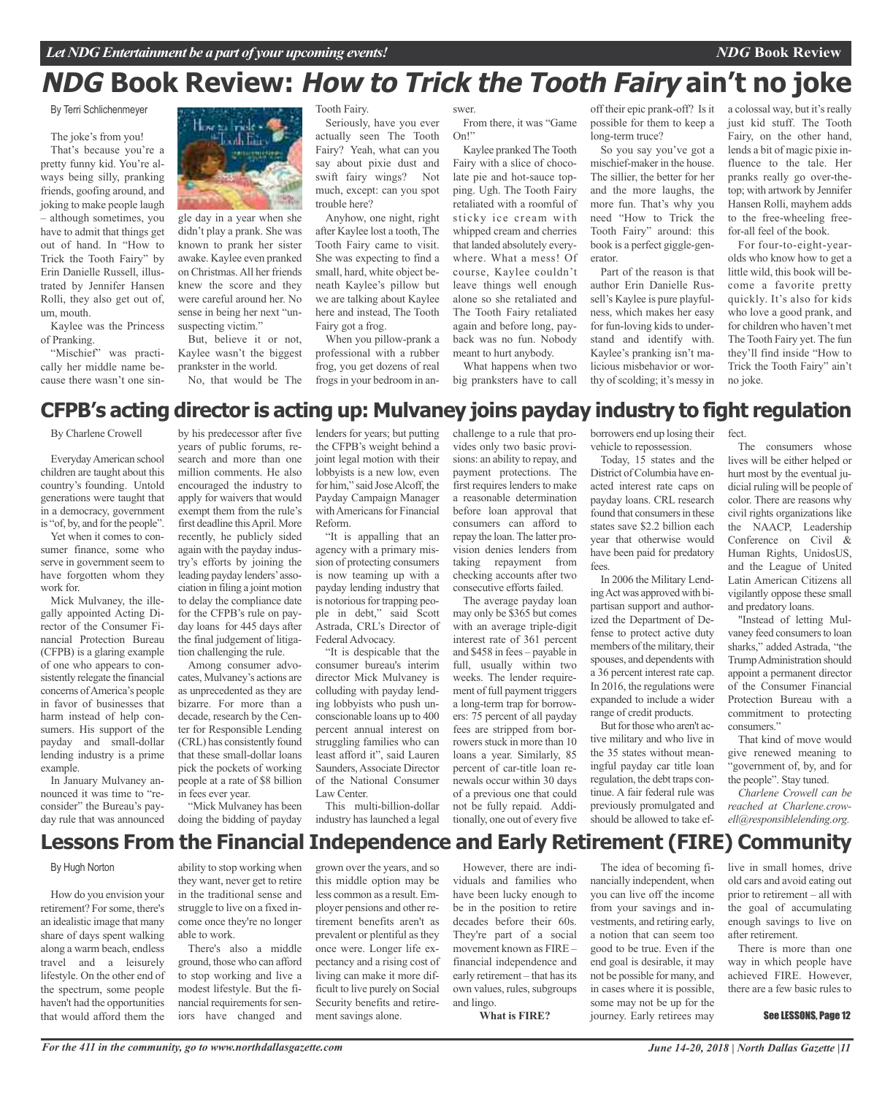## **NDG Book Review: How to Trick the Tooth Fairy ain't no joke**

By Terri Schlichenmeyer

The joke's from you!

That's because you're a pretty funny kid. You're always being silly, pranking friends, goofing around, and joking to make people laugh – although sometimes, you have to admit that things get out of hand. In "How to Trick the Tooth Fairy" by Erin Danielle Russell, illustrated by Jennifer Hansen Rolli, they also get out of, um, mouth.

Kaylee was the Princess of Pranking.

"Mischief" was practically her middle name because there wasn't one sin-



gle day in a year when she didn't play a prank. She was known to prank her sister awake. Kaylee even pranked on Christmas.All her friends knew the score and they were careful around her. No sense in being her next "unsuspecting victim."

But, believe it or not, Kaylee wasn't the biggest prankster in the world. No, that would be The

by his predecessor after five

Tooth Fairy.

Seriously, have you ever actually seen The Tooth Fairy? Yeah, what can you say about pixie dust and swift fairy wings? Not much, except: can you spot trouble here?

Anyhow, one night, right after Kaylee lost a tooth, The Tooth Fairy came to visit. She was expecting to find a small, hard, white object beneath Kaylee's pillow but we are talking about Kaylee here and instead, The Tooth Fairy got a frog.

When you pillow-prank a professional with a rubber frog, you get dozens of real frogs in your bedroom in an-

swer. From there, it was "Game On!"

Kaylee pranked The Tooth Fairy with a slice of chocolate pie and hot-sauce topping. Ugh. The Tooth Fairy retaliated with a roomful of sticky ice cream with whipped cream and cherries that landed absolutely everywhere. What a mess! Of course, Kaylee couldn't leave things well enough alone so she retaliated and The Tooth Fairy retaliated again and before long, payback was no fun. Nobody meant to hurt anybody.

What happens when two big pranksters have to call

off their epic prank-off? Is it possible for them to keep a long-term truce?

So you say you've got a mischief-maker in the house. The sillier, the better for her and the more laughs, the more fun. That's why you need "How to Trick the Tooth Fairy" around: this book is a perfect giggle-generator.

Part of the reason is that author Erin Danielle Russell's Kaylee is pure playfulness, which makes her easy for fun-loving kids to understand and identify with. Kaylee's pranking isn't malicious misbehavior or worthy of scolding; it's messy in a colossal way, but it's really just kid stuff. The Tooth Fairy, on the other hand, lends a bit of magic pixie influence to the tale. Her pranks really go over-thetop; with artwork by Jennifer Hansen Rolli, mayhem adds to the free-wheeling freefor-all feel of the book.

For four-to-eight-yearolds who know how to get a little wild, this book will become a favorite pretty quickly. It's also for kids who love a good prank, and for children who haven't met The Tooth Fairy yet. The fun they'll find inside "How to Trick the Tooth Fairy" ain't no joke.

### **CFPB's acting director is acting up: Mulvaney joins payday industry to fight regulation**

By Charlene Crowell

EverydayAmerican school children are taught about this country's founding. Untold generations were taught that in a democracy, government is "of, by, and for the people".

Yet when it comes to consumer finance, some who serve in government seem to have forgotten whom they work for.

Mick Mulvaney, the illegally appointed Acting Director of the Consumer Financial Protection Bureau (CFPB) is a glaring example of one who appears to consistently relegate the financial concerns ofAmerica's people in favor of businesses that harm instead of help consumers. His support of the payday and small-dollar lending industry is a prime example.

In January Mulvaney announced it was time to "reconsider" the Bureau's payday rule that was announced

years of public forums, research and more than one million comments. He also encouraged the industry to apply for waivers that would exempt them from the rule's first deadline this April. More recently, he publicly sided again with the payday industry's efforts by joining the leading payday lenders'association in filing a joint motion to delay the compliance date for the CFPB's rule on payday loans for 445 days after the final judgement of litigation challenging the rule.

Among consumer advocates, Mulvaney's actions are as unprecedented as they are bizarre. For more than a decade, research by the Center for Responsible Lending (CRL) has consistently found that these small-dollar loans pick the pockets of working people at a rate of \$8 billion in fees ever year.

"Mick Mulvaney has been doing the bidding of payday lenders for years; but putting the CFPB's weight behind a joint legal motion with their lobbyists is a new low, even for him," said JoseAlcoff, the Payday Campaign Manager with Americans for Financial Reform.

"It is appalling that an agency with a primary mission of protecting consumers is now teaming up with a payday lending industry that is notorious for trapping people in debt," said Scott Astrada, CRL's Director of Federal Advocacy.

"It is despicable that the consumer bureau's interim director Mick Mulvaney is colluding with payday lending lobbyists who push unconscionable loans up to 400 percent annual interest on struggling families who can least afford it", said Lauren Saunders,Associate Director of the National Consumer Law Center.

This multi-billion-dollar industry has launched a legal

challenge to a rule that provides only two basic provisions: an ability to repay, and payment protections. The first requires lenders to make a reasonable determination before loan approval that consumers can afford to repay the loan.The latter provision denies lenders from taking repayment from checking accounts after two consecutive efforts failed.

The average payday loan may only be \$365 but comes with an average triple-digit interest rate of 361 percent and \$458 in fees – payable in full, usually within two weeks. The lender requirement of full payment triggers a long-term trap for borrowers: 75 percent of all payday fees are stripped from borrowers stuck in more than 10 loans a year. Similarly, 85 percent of car-title loan renewals occur within 30 days of a previous one that could not be fully repaid. Additionally, one out of every five

borrowers end up losing their vehicle to repossession.

Today, 15 states and the District of Columbia have enacted interest rate caps on payday loans. CRL research found that consumers in these states save \$2.2 billion each year that otherwise would have been paid for predatory fees.

In 2006 the Military LendingAct was approved with bipartisan support and authorized the Department of Defense to protect active duty members of the military, their spouses, and dependents with a 36 percent interest rate cap. In 2016, the regulations were expanded to include a wider range of credit products.

But for those who aren't active military and who live in the 35 states without meaningful payday car title loan regulation, the debt traps continue. A fair federal rule was previously promulgated and should be allowed to take effect.

The consumers whose lives will be either helped or hurt most by the eventual judicial ruling will be people of color. There are reasons why civil rights organizations like the NAACP, Leadership Conference on Civil & Human Rights, UnidosUS, and the League of United Latin American Citizens all vigilantly oppose these small and predatory loans.

"Instead of letting Mulvaney feed consumers to loan sharks," added Astrada, "the TrumpAdministration should appoint a permanent director of the Consumer Financial Protection Bureau with a commitment to protecting consumers."

That kind of move would give renewed meaning to "government of, by, and for the people". Stay tuned.

*Charlene Crowell can be reached at Charlene.crowell@responsiblelending.org.*

### **Lessons From the Financial Independence and Early Retirement (FIRE) Community**

### By Hugh Norton

How do you envision your retirement? Forsome, there's an idealistic image that many share of days spent walking along a warm beach, endless travel and a leisurely lifestyle. On the other end of the spectrum, some people haven't had the opportunities that would afford them the

ability to stop working when they want, never get to retire in the traditional sense and struggle to live on a fixed income once they're no longer able to work.

There's also a middle ground, those who can afford to stop working and live a modest lifestyle. But the financial requirements for seniors have changed and

grown over the years, and so this middle option may be less common as a result. Employer pensions and other retirement benefits aren't as prevalent or plentiful as they once were. Longer life expectancy and a rising cost of living can make it more difficult to live purely on Social Security benefits and retirement savings alone.

However, there are individuals and families who have been lucky enough to be in the position to retire decades before their 60s. They're part of a social movement known as FIRE – financial independence and early retirement – that has its own values, rules, subgroups and lingo.

**What is FIRE?**

The idea of becoming financially independent, when you can live off the income from your savings and investments, and retiring early, a notion that can seem too good to be true. Even if the end goal is desirable, it may not be possible for many, and in cases where it is possible, some may not be up for the journey. Early retirees may

live in small homes, drive old cars and avoid eating out prior to retirement – all with the goal of accumulating enough savings to live on after retirement.

There is more than one way in which people have achieved FIRE. However, there are a few basic rules to

#### See LESSONS, Page 12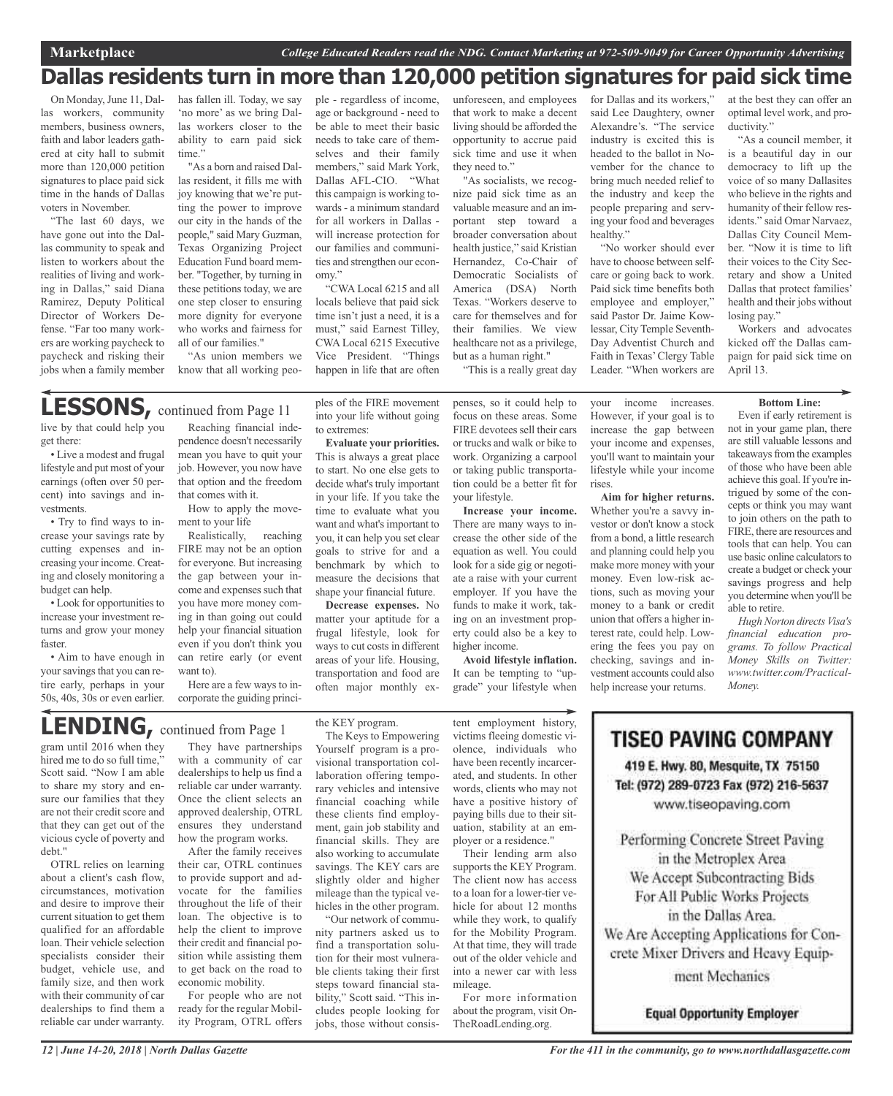### **Dallas residents turn in more than 120,000 petition signatures for paid sick time**

On Monday, June 11, Dallas workers, community members, business owners, faith and labor leaders gathered at city hall to submit more than 120,000 petition signatures to place paid sick time in the hands of Dallas voters in November.

"The last 60 days, we have gone out into the Dallas community to speak and listen to workers about the realities of living and working in Dallas," said Diana Ramirez, Deputy Political Director of Workers Defense. "Far too many workers are working paycheck to paycheck and risking their jobs when a family member

get there:

vestments.

budget can help.

faster.

• Try to find ways to increase your savings rate by cutting expenses and increasing your income. Creating and closely monitoring a

• Look for opportunities to increase your investment returns and grow your money

• Aim to have enough in your savings that you can retire early, perhaps in your 50s, 40s, 30s or even earlier. has fallen ill. Today, we say 'no more' as we bring Dallas workers closer to the ability to earn paid sick time."

"As a born and raised Dallas resident, it fills me with joy knowing that we're putting the power to improve our city in the hands of the people," said Mary Guzman, Texas Organizing Project Education Fund board member. "Together, by turning in these petitions today, we are one step closer to ensuring more dignity for everyone who works and fairness for all of our families."

"As union members we know that all working people - regardless of income, age or background - need to be able to meet their basic needs to take care of themselves and their family members," said Mark York, Dallas AFL-CIO. "What this campaign is working towards- a minimum standard for all workers in Dallas will increase protection for our families and communities and strengthen our economy."

"CWA Local 6215 and all locals believe that paid sick time isn't just a need, it is a must," said Earnest Tilley, CWA Local 6215 Executive Vice President. "Things happen in life that are often

ples of the FIRE movement into your life without going

**Evaluate your priorities.** This is always a great place to start. No one else gets to decide what's truly important in your life. If you take the time to evaluate what you want and what's important to you, it can help you set clear goals to strive for and a benchmark by which to measure the decisions that shape your financial future. **Decrease expenses.** No matter your aptitude for a frugal lifestyle, look for ways to cut costs in different areas of your life. Housing, transportation and food are often major monthly ex-

to extremes:

unforeseen, and employees that work to make a decent living should be afforded the opportunity to accrue paid sick time and use it when they need to."

"As socialists, we recognize paid sick time as an valuable measure and an important step toward a broader conversation about health justice," said Kristian Hernandez, Co-Chair of Democratic Socialists of America (DSA) North Texas. "Workers deserve to care for themselves and for their families. We view healthcare not as a privilege, but as a human right." "This is a really great day

penses, so it could help to focus on these areas. Some FIRE devotees sell their cars or trucks and walk or bike to work. Organizing a carpool or taking public transportation could be a better fit for

**Increase your income.** There are many ways to increase the other side of the equation as well. You could look for a side gig or negotiate a raise with your current employer. If you have the funds to make it work, taking on an investment property could also be a key to

your lifestyle.

higher income.

for Dallas and its workers," said Lee Daughtery, owner Alexandre's. "The service industry is excited this is headed to the ballot in November for the chance to bring much needed relief to the industry and keep the people preparing and serving your food and beverages healthy."

"No worker should ever have to choose between selfcare or going back to work. Paid sick time benefits both employee and employer," said Pastor Dr. Jaime Kowlessar, City Temple Seventh-Day Adventist Church and Faith in Texas'Clergy Table Leader. "When workers are

at the best they can offer an optimal level work, and productivity."

"As a council member, it is a beautiful day in our democracy to lift up the voice of so many Dallasites who believe in the rights and humanity of their fellow residents." said Omar Narvaez, Dallas City Council Member. "Now it is time to lift their voices to the City Secretary and show a United Dallas that protect families' health and their jobs without losing pay."

Workers and advocates kicked off the Dallas campaign for paid sick time on April 13.

#### **Bottom Line:**

Even if early retirement is not in your game plan, there are still valuable lessons and takeaways from the examples of those who have been able achieve this goal.If you're intrigued by some of the concepts or think you may want to join others on the path to FIRE, there are resources and tools that can help. You can use basic online calculators to create a budget or check your savings progress and help you determine when you'll be able to retire.

*Hugh Norton directs Visa's financial education programs. To follow Practical Money Skills on Twitter: www.twitter.com/Practical-Money.*

live by that could help you • Live a modest and frugal lifestyle and put most of your earnings (often over 50 percent) into savings and in-Reaching financial independence doesn't necessarily mean you have to quit your job. However, you now have that option and the freedom that comes with it. **LESSONS,** continued from Page <sup>11</sup>

How to apply the movement to your life

Realistically, reaching FIRE may not be an option for everyone. But increasing the gap between your income and expenses such that you have more money coming in than going out could help your financial situation even if you don't think you can retire early (or event want to).

Here are a few ways to incorporate the guiding princi-

## **LENDING,** continued from Page <sup>1</sup>

gram until 2016 when they hired me to do so full time.' Scott said. "Now I am able to share my story and ensure our families that they are not their credit score and that they can get out of the vicious cycle of poverty and debt."

OTRL relies on learning about a client's cash flow, circumstances, motivation and desire to improve their current situation to get them qualified for an affordable loan. Their vehicle selection specialists consider their budget, vehicle use, and family size, and then work with their community of car dealerships to find them a reliable car under warranty.

They have partnerships with a community of car dealerships to help us find a reliable car under warranty. Once the client selects an approved dealership, OTRL ensures they understand how the program works.

After the family receives their car, OTRL continues to provide support and advocate for the families throughout the life of their loan. The objective is to help the client to improve their credit and financial position while assisting them to get back on the road to economic mobility.

For people who are not ready for the regular Mobility Program, OTRL offers the KEY program.

The Keys to Empowering Yourself program is a provisional transportation collaboration offering temporary vehicles and intensive financial coaching while these clients find employment, gain job stability and financial skills. They are also working to accumulate savings. The KEY cars are slightly older and higher mileage than the typical vehicles in the other program.

"Our network of community partners asked us to find a transportation solution for their most vulnerable clients taking their first steps toward financial stability," Scott said. "This includes people looking for jobs, those without consis-

tent employment history, victims fleeing domestic violence, individuals who have been recently incarcerated, and students. In other words, clients who may not have a positive history of paying bills due to their sit-

**Avoid lifestyle inflation.** It can be tempting to "upgrade" your lifestyle when

hicle for about 12 months while they work, to qualify for the Mobility Program. At that time, they will trade out of the older vehicle and into a newer car with less mileage.

about the program, visit On-TheRoadLending.org.

However, if your goal is to increase the gap between your income and expenses, you'll want to maintain your lifestyle while your income rises.

your income increases.

**Aim for higher returns.** Whether you're a savvy investor or don't know a stock from a bond, a little research and planning could help you make more money with your money. Even low-risk actions, such as moving your money to a bank or credit union that offers a higher interest rate, could help. Lowering the fees you pay on checking, savings and investment accounts could also help increase your returns.

uation, stability at an employer or a residence." Their lending arm also supports the KEY Program. The client now has access to a loan for a lower-tier ve-

For more information

## **TISEO PAVING COMPANY**

419 E. Hwy. 80, Mesquite, TX 75150 Tel: (972) 289-0723 Fax (972) 216-5637 www.tiseopaving.com

Performing Concrete Street Paving in the Metroplex Area We Accept Subcontracting Bids For All Public Works Projects in the Dallas Area. We Are Accepting Applications for Concrete Mixer Drivers and Heavy Equipment Mechanics

**Equal Opportunity Employer**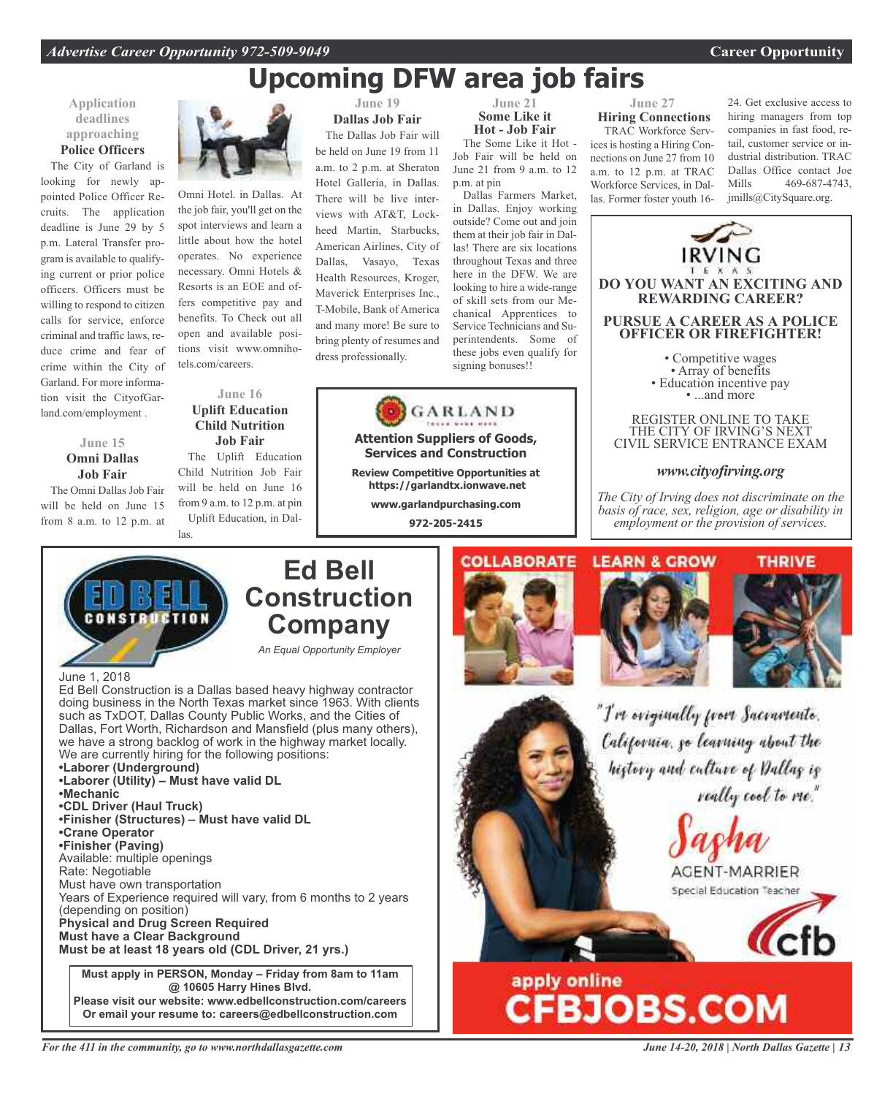## **Upcoming DFW area job fairs**

### **Application deadlines approaching Police Officers**

The City of Garland is looking for newly appointed Police Officer Recruits. The application deadline is June 29 by 5 p.m. Lateral Transfer program is available to qualifying current or prior police officers. Officers must be willing to respond to citizen calls for service, enforce criminal and traffic laws, reduce crime and fear of crime within the City of Garland. For more information visit the CityofGarland.com/employment .

**June 15 Omni Dallas Job Fair** The Omni Dallas Job Fair will be held on June 15 from 8 a.m. to 12 p.m. at



Omni Hotel. in Dallas. At the job fair, you'll get on the spot interviews and learn a little about how the hotel operates. No experience necessary. Omni Hotels & Resorts is an EOE and offers competitive pay and benefits. To Check out all open and available positions visit www.omnihotels.com/careers.

### **June 16 Uplift Education Child Nutrition Job Fair**

The Uplift Education Child Nutrition Job Fair will be held on June 16 from 9 a.m. to 12 p.m. at pin Uplift Education, in Dallas.

**June 19 Dallas Job Fair** The Dallas Job Fair will be held on June 19 from 11

a.m. to 2 p.m. at Sheraton Hotel Galleria, in Dallas. There will be live interviews with AT&T, Lockheed Martin, Starbucks, American Airlines, City of Dallas, Vasayo, Texas Health Resources, Kroger, Maverick Enterprises Inc., T-Mobile, Bank of America and many more! Be sure to bring plenty of resumes and dress professionally.

**June 21 Some Like it Hot - Job Fair**

The Some Like it Hot - Job Fair will be held on June 21 from 9 a.m. to 12 p.m. at pin

Dallas Farmers Market, in Dallas. Enjoy working outside? Come out and join them at their job fair in Dallas! There are six locations throughout Texas and three here in the DFW. We are looking to hire a wide-range of skill sets from our Mechanical Apprentices to Service Technicians and Superintendents. Some of these jobs even qualify for signing bonuses!!



**Attention Suppliers of Goods, Services and Construction**

**Review Competitive Opportunities at https://garlandtx.ionwave.net**

> **www.garlandpurchasing.com 972-205-2415**

### **June 27 Hiring Connections**

TRAC Workforce Services is hosting a Hiring Connections on June 27 from 10 a.m. to 12 p.m. at TRAC Workforce Services, in Dallas. Former foster youth 16-

24. Get exclusive access to hiring managers from top companies in fast food, retail, customer service or industrial distribution. TRAC Dallas Office contact Joe Mills 469-687-4743, jmills@CitySquare.org.



*The City of Irving does not discriminate on the basis of race, sex, religion, age or disability in employment or the provision of services.*



### **Ed Bell Construction Company**

*An Equal Opportunity Employer*

June 1, 2018

Ed Bell Construction is a Dallas based heavy highway contractor doing business in the North Texas market since 1963. With clients such as TxDOT, Dallas County Public Works, and the Cities of Dallas, Fort Worth, Richardson and Mansfield (plus many others), we have a strong backlog of work in the highway market locally. We are currently hiring for the following positions: **•Laborer (Underground) •Laborer (Utility) – Must have valid DL •Mechanic •CDL Driver (Haul Truck) •Finisher (Structures) – Must have valid DL •Crane Operator •Finisher (Paving)** Available: multiple openings Rate: Negotiable Must have own transportation Years of Experience required will vary, from 6 months to 2 years (depending on position) **Physical and Drug Screen Required Must have a Clear Background Must be at least 18 years old (CDL Driver, 21 yrs.) Must apply in PERSON, Monday – Friday from 8am to 11am**

**@ 10605 Harry Hines Blvd. Please visit our website: www.edbellconstruction.com/careers Or email your resume to: careers@edbellconstruction.com**







"I've originally from Sacramento. California, go learning about the history and culture of Dallas is really cool to me."

AGENT-MARRIER

Special Education Teacher

apply online<br>CFBJOBS.COM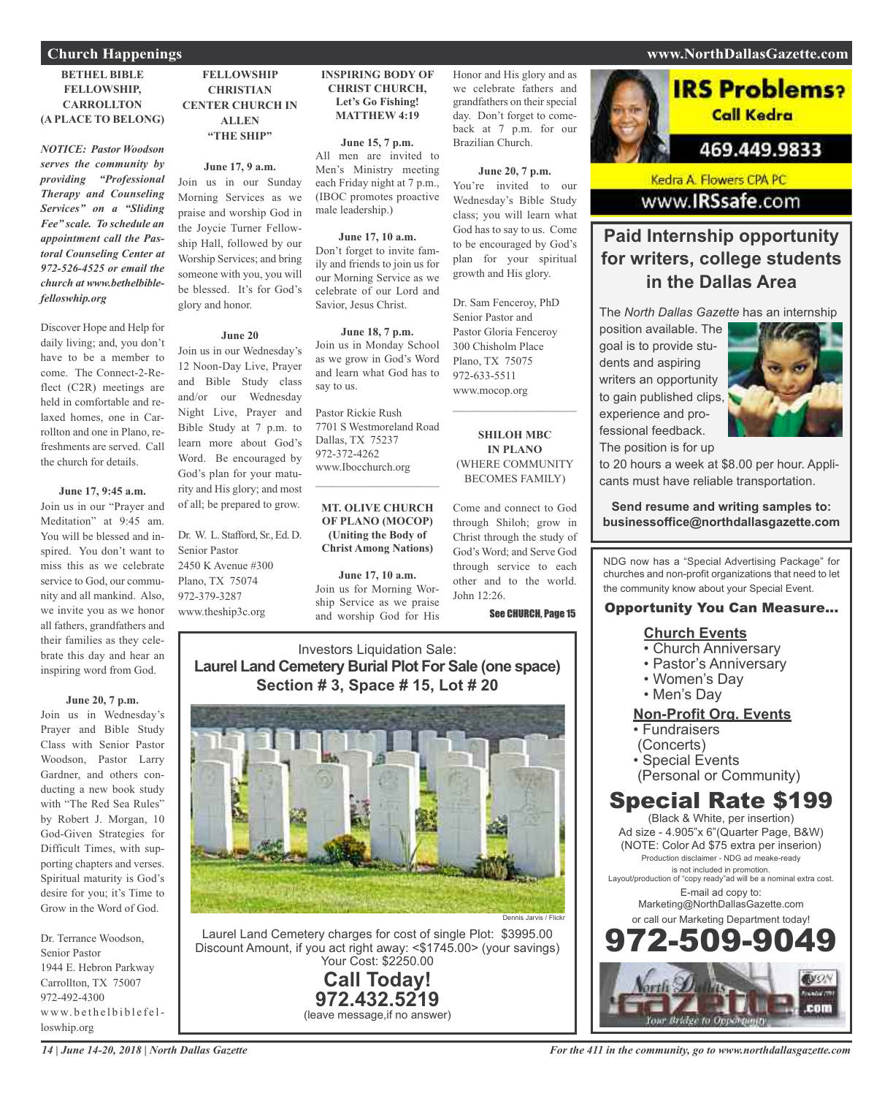#### **BETHEL BIBLE FELLOWSHIP, CARROLLTON (A PLACE TO BELONG)**

*NOTICE: Pastor Woodson serves the community by providing "Professional Therapy and Counseling Services" on a "Sliding Fee" scale. To schedule an appointment call the Pastoral Counseling Center at 972-526-4525 or email the church at www.bethelbiblefelloswhip.org*

Discover Hope and Help for daily living; and, you don't have to be a member to come. The Connect-2-Reflect (C2R) meetings are held in comfortable and relaxed homes, one in Carrollton and one in Plano, refreshments are served. Call the church for details.

#### **June 17, 9:45 a.m.**

Join us in our "Prayer and Meditation" at 9:45 am. You will be blessed and inspired. You don't want to miss this as we celebrate service to God, our community and all mankind. Also, we invite you as we honor all fathers, grandfathers and their families as they celebrate this day and hear an inspiring word from God.

#### **June 20, 7 p.m.**

Join us in Wednesday's Prayer and Bible Study Class with Senior Pastor Woodson, Pastor Larry Gardner, and others conducting a new book study with "The Red Sea Rules" by Robert J. Morgan, 10 God-Given Strategies for Difficult Times, with supporting chapters and verses. Spiritual maturity is God's desire for you; it's Time to Grow in the Word of God.

Dr. Terrance Woodson, Senior Pastor 1944 E. Hebron Parkway Carrollton, TX 75007 972-492-4300 www.bethelbiblefelloswhip.org

### **FELLOWSHIP CHRISTIAN CENTER CHURCH IN ALLEN "THE SHIP"**

**June 17, 9 a.m.** Join us in our Sunday Morning Services as we praise and worship God in the Joycie Turner Fellowship Hall, followed by our Worship Services; and bring someone with you, you will be blessed. It's for God's glory and honor.

#### **June 20**

Join us in our Wednesday's 12 Noon-Day Live, Prayer and Bible Study class and/or our Wednesday Night Live, Prayer and Bible Study at 7 p.m. to learn more about God's Word. Be encouraged by God's plan for your maturity and His glory; and most of all; be prepared to grow.

Dr. W. L. Stafford, Sr., Ed. D. Senior Pastor 2450 K Avenue #300 Plano, TX 75074 972-379-3287 www.theship3c.org

#### **INSPIRING BODY OF CHRIST CHURCH, Let's Go Fishing! MATTHEW 4:19**

**June 15, 7 p.m.** All men are invited to Men's Ministry meeting each Friday night at 7 p.m., (IBOC promotes proactive male leadership.)

#### **June 17, 10 a.m.**

Don't forget to invite family and friends to join us for our Morning Service as we celebrate of our Lord and Savior, Jesus Christ.

#### **June 18, 7 p.m.**

Pastor Rickie Rush 7701 S Westmoreland Road

### **OF PLANO (MOCOP) (Uniting the Body of Christ Among Nations)**

**June 17, 10 a.m.** Join us for Morning Worship Service as we praise and worship God for His

Honor and His glory and as we celebrate fathers and grandfathers on their special day. Don't forget to comeback at 7 p.m. for our Brazilian Church.

**June 20, 7 p.m.** You're invited to our Wednesday's Bible Study class; you will learn what God has to say to us. Come to be encouraged by God's plan for your spiritual growth and His glory.

Dr. Sam Fenceroy, PhD Senior Pastor and Pastor Gloria Fenceroy 300 Chisholm Place Plano, TX 75075 972-633-5511 www.mocop.org  $\mathcal{L}=\mathcal{L}^{\mathcal{L}}$  , where  $\mathcal{L}^{\mathcal{L}}$  , we have the set of the set of the set of the set of the set of the set of the set of the set of the set of the set of the set of the set of the set of the set of the set of

**SHILOH MBC IN PLANO** (WHERE COMMUNITY BECOMES FAMILY)

Come and connect to God through Shiloh; grow in Christ through the study of God's Word; and Serve God through service to each other and to the world. John 12:26.

See CHURCH, Page 15

### Investors Liquidation Sale: **Laurel Land Cemetery Burial Plot For Sale (one space) Section # 3, Space # 15, Lot # 20**



Laurel Land Cemetery charges for cost of single Plot: \$3995.00 Discount Amount, if you act right away: <\$1745.00> (your savings) Your Cost: \$2250.00

> **Call Today! 972.432.5219** (leave message,if no answer)

### **Church Happenings www.NorthDallasGazette.com**



Kedra A. Flowers CPA PC www.IRSsafe.com

### **Paid Internship opportunity for writers, college students in the Dallas Area**

The *North Dallas Gazette* has an internship

position available. The goal is to provide students and aspiring writers an opportunity to gain published clips, experience and professional feedback. The position is for up



to 20 hours a week at \$8.00 per hour. Applicants must have reliable transportation.

**Send resume and writing samples to: businessoffice@northdallasgazette.com**

NDG now has a "Special Advertising Package" for churches and non-profit organizations that need to let the community know about your Special Event.

### Opportunity You Can Measure...

### **Church Events**

- Church Anniversary
- Pastor's Anniversary
- Women's Day
- Men's Day

### **Non-Profit Org. Events**

- Fundraisers
- (Concerts)
- Special Events
- (Personal or Community)

### Special Rate \$199

(Black & White, per insertion) Ad size - 4.905"x 6"(Quarter Page, B&W) (NOTE: Color Ad \$75 extra per inserion) Production disclaimer - NDG ad meake-ready is not included in promotion. Layout/production of "copy ready"ad will be a nominal extra cost. E-mail ad copy to: Marketing@NorthDallasGazette.com or call our Marketing Department today! 972-509-9049



### Join us in Monday School as we grow in God's Word and learn what God has to say to us.

Dallas, TX 75237 972-372-4262 www.Ibocchurch.org

## $\overline{\phantom{a}}$  , and the set of the set of the set of the set of the set of the set of the set of the set of the set of the set of the set of the set of the set of the set of the set of the set of the set of the set of the s **MT. OLIVE CHURCH**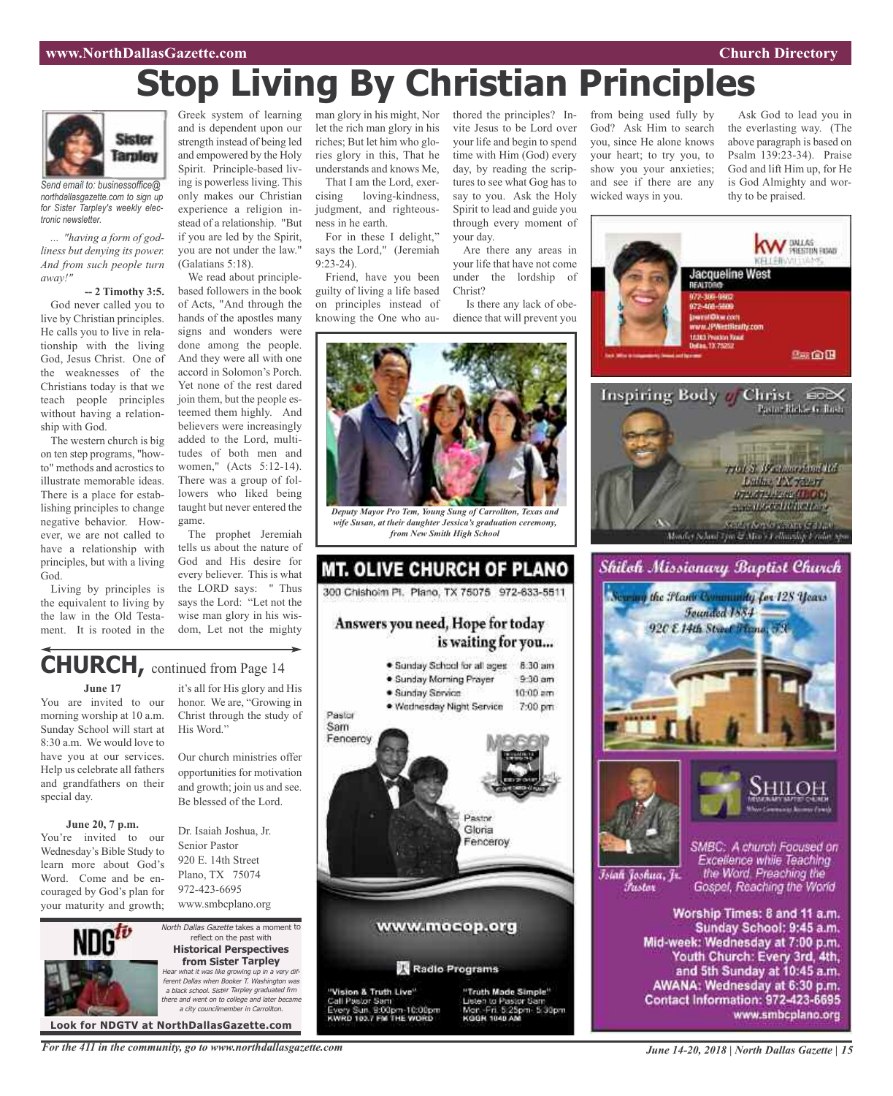# **Stop Living By Christian Principles**



*Send email to: businessoffice@ northdallasgazette.com to sign up for Sister Tarpley's weekly electronic newsletter.*

*... "having a form of godliness but denying its power. And from such people turn away!"*

**-- 2 Timothy 3:5.**

God never called you to live by Christian principles. He calls you to live in relationship with the living God, Jesus Christ. One of the weaknesses of the Christians today is that we teach people principles without having a relationship with God.

The western church is big on ten step programs, "howto" methods and acrostics to illustrate memorable ideas. There is a place for establishing principles to change negative behavior. However, we are not called to have a relationship with principles, but with a living God.

Living by principles is the equivalent to living by the law in the Old Testament. It is rooted in the

Greek system of learning and is dependent upon our strength instead of being led and empowered by the Holy Spirit. Principle-based living is powerless living. This only makes our Christian experience a religion instead of a relationship. "But if you are led by the Spirit, you are not under the law." (Galatians 5:18).

We read about principlebased followers in the book of Acts, "And through the hands of the apostles many signs and wonders were done among the people. And they were all with one accord in Solomon's Porch. Yet none of the rest dared join them, but the people esteemed them highly. And believers were increasingly added to the Lord, multitudes of both men and women," (Acts 5:12-14). There was a group of followers who liked being taught but never entered the game.

The prophet Jeremiah tells us about the nature of God and His desire for every believer. This is what the LORD says: " Thus says the Lord: "Let not the wise man glory in his wisdom, Let not the mighty

honor. We are, "Growing in Christ through the study of

Our church ministries offer opportunities for motivation and growth; join us and see. Be blessed of the Lord.

Dr. Isaiah Joshua, Jr. Senior Pastor 920 E. 14th Street Plano, TX 75074 972-423-6695 www.smbcplano.org

His Word."

man glory in his might, Nor let the rich man glory in his riches; But let him who glories glory in this, That he understands and knows Me,

That I am the Lord, exercising loving-kindness, judgment, and righteousness in he earth.

For in these I delight," says the Lord," (Jeremiah  $9.23 - 24$ 

Friend, have you been guilty of living a life based on principles instead of knowing the One who authored the principles? Invite Jesus to be Lord over your life and begin to spend time with Him (God) every day, by reading the scriptures to see what Gog has to say to you. Ask the Holy Spirit to lead and guide you through every moment of your day.

Are there any areas in your life that have not come under the lordship of Christ?

Is there any lack of obedience that will prevent you



*wife Susan, at their daughter Jessica's graduation ceremony, from New Smith High School*

### MT. OLIVE CHURCH OF PLANO 300 Chishoim Pl. Plano, TX 75075 972-633-5511

### Answers you need, Hope for today is waiting for you...

· Sunday School for all ages 8:30 am · Sunday Morning Prayer  $9.30$  am · Sunday Service  $10:00$  am . Wednesday Night Service 7:00 pm Pastor Sam Fencercy Pastor Gloria Fenceroy www.mocop.org Radio Programs "Vision & Truth Live" "Truth Made Simple" Call Pastor Sam Jisten to Pastor San Sun, 9:00pm-10:00pm<br>103.7 FM THE WORD Mar. Fri. 5:25pm. 5:30pm from being used fully by God? Ask Him to search you, since He alone knows your heart; to try you, to show you your anxieties; and see if there are any wicked ways in you.

Ask God to lead you in the everlasting way. (The above paragraph is based on Psalm 139:23-34). Praise God and lift Him up, for He is God Almighty and worthy to be praised.



### **CHURCH,** continued from Page <sup>14</sup> it's all for His glory and His

#### **June 17**

You are invited to our morning worship at 10 a.m. Sunday School will start at 8:30 a.m. We would love to have you at our services. Help us celebrate all fathers and grandfathers on their special day.

#### **June 20, 7 p.m.** You're invited to our

Wednesday's Bible Study to learn more about God's Word. Come and be encouraged by God's plan for your maturity and growth;



North Dallas Gazette takes a moment to reflect on the past with **Historical Perspectives from Sister Tarpley** Hear what it was like growing up in <sup>a</sup> very different Dallas when Booker T. Washington was <sup>a</sup> black school. Sister Tarpley graduated frm there and went on to college and later became a city councilmember in Carroll

**Look for NDGTV at NorthDallasGazette.com**

*For the 411 in the community, go to www.northdallasgazette.com*